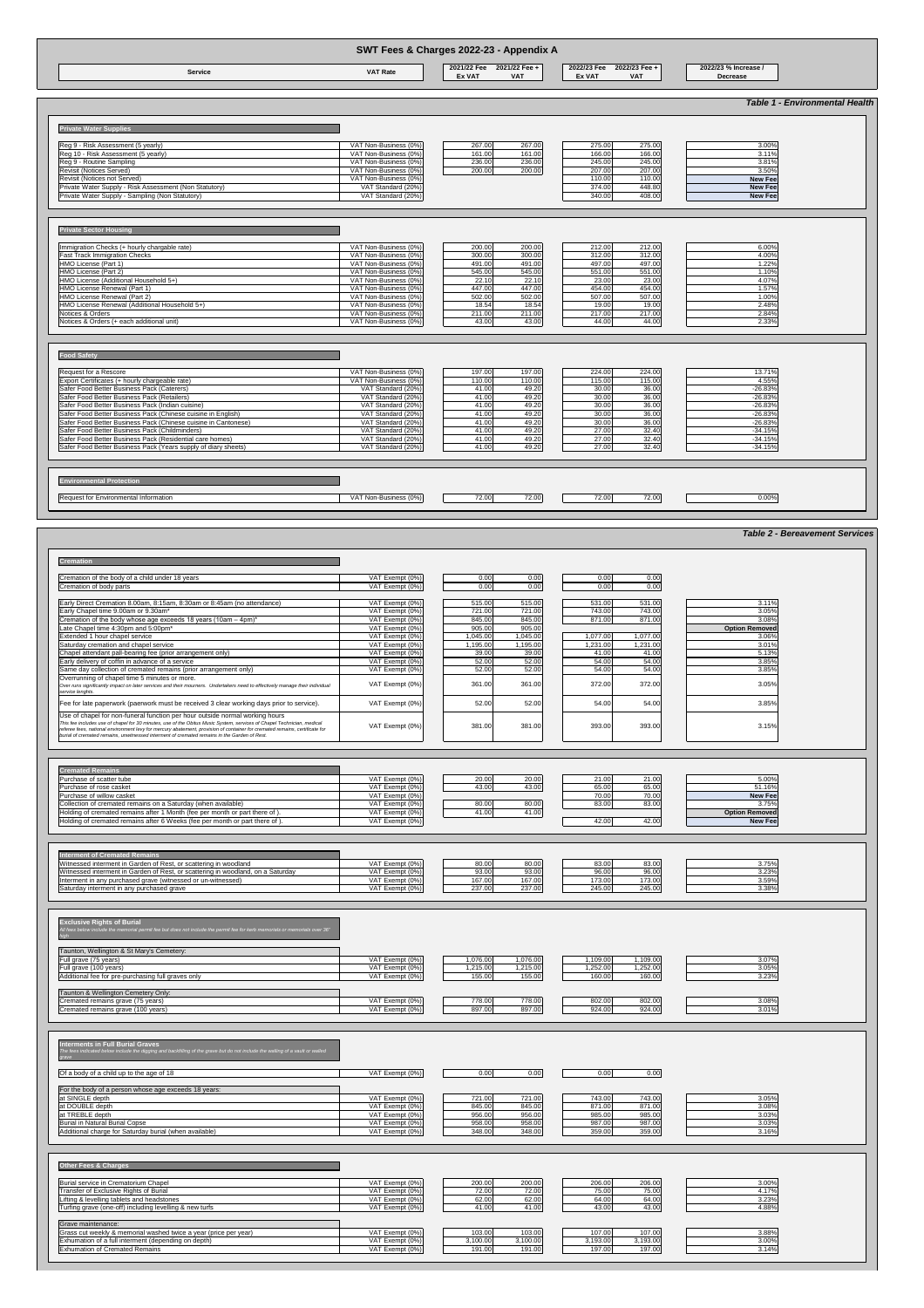### **Environmental Protection**

## Request for Environmental Information **CONTROVIDGE CONTROVIDGE 12.00** 72.00 72.00 72.00 72.00 72.00 72.00 72.00

### **Cremation**

| SWT Fees & Charges 2022-23 - Appendix A                                                                                                                                                                                                                                                                                                                         |                                                                                                                                                                                                                                                        |                                                                                                                                                                                                |                                                                                                                                                                                                |                                                                                        |  |  |  |
|-----------------------------------------------------------------------------------------------------------------------------------------------------------------------------------------------------------------------------------------------------------------------------------------------------------------------------------------------------------------|--------------------------------------------------------------------------------------------------------------------------------------------------------------------------------------------------------------------------------------------------------|------------------------------------------------------------------------------------------------------------------------------------------------------------------------------------------------|------------------------------------------------------------------------------------------------------------------------------------------------------------------------------------------------|----------------------------------------------------------------------------------------|--|--|--|
| <b>Service</b>                                                                                                                                                                                                                                                                                                                                                  | <b>VAT Rate</b>                                                                                                                                                                                                                                        | 2021/22 Fee +<br>2021/22 Fee<br><b>Ex VAT</b><br><b>VAT</b>                                                                                                                                    | 2022/23 Fee 2022/23 Fee +<br><b>Ex VAT</b><br><b>VAT</b>                                                                                                                                       | 2022/23 % Increase /<br><b>Decrease</b>                                                |  |  |  |
|                                                                                                                                                                                                                                                                                                                                                                 |                                                                                                                                                                                                                                                        |                                                                                                                                                                                                |                                                                                                                                                                                                | <b>Table 1 - Environmental Health</b>                                                  |  |  |  |
| <b>Private Water Supplies</b>                                                                                                                                                                                                                                                                                                                                   |                                                                                                                                                                                                                                                        |                                                                                                                                                                                                |                                                                                                                                                                                                |                                                                                        |  |  |  |
| Reg 9 - Risk Assessment (5 yearly)                                                                                                                                                                                                                                                                                                                              | VAT Non-Business (0%)                                                                                                                                                                                                                                  | 267.00<br>267.00                                                                                                                                                                               | 275.00<br>275.00                                                                                                                                                                               | 3.00%                                                                                  |  |  |  |
| Reg 10 - Risk Assessment (5 yearly)                                                                                                                                                                                                                                                                                                                             | VAT Non-Business (0%)                                                                                                                                                                                                                                  | 161.00<br>161.00                                                                                                                                                                               | 166.00<br>166.00                                                                                                                                                                               | 3.11%                                                                                  |  |  |  |
| Reg 9 - Routine Sampling                                                                                                                                                                                                                                                                                                                                        | VAT Non-Business (0%)                                                                                                                                                                                                                                  | 236.00<br>236.00                                                                                                                                                                               | 245.00<br>245.00                                                                                                                                                                               | 3.81%                                                                                  |  |  |  |
| Revisit (Notices Served)                                                                                                                                                                                                                                                                                                                                        | VAT Non-Business (0%)                                                                                                                                                                                                                                  | 200.00<br>200.00                                                                                                                                                                               | 207.00<br>207.00                                                                                                                                                                               | 3.50%                                                                                  |  |  |  |
| Revisit (Notices not Served)                                                                                                                                                                                                                                                                                                                                    | VAT Non-Business (0%)                                                                                                                                                                                                                                  |                                                                                                                                                                                                | 110.00<br>110.00                                                                                                                                                                               | <b>New Fee</b>                                                                         |  |  |  |
| Private Water Supply - Risk Assessment (Non Statutory)                                                                                                                                                                                                                                                                                                          | VAT Standard (20%)                                                                                                                                                                                                                                     |                                                                                                                                                                                                | 374.00<br>448.80                                                                                                                                                                               | <b>New Fee</b>                                                                         |  |  |  |
| Private Water Supply - Sampling (Non Statutory)                                                                                                                                                                                                                                                                                                                 | VAT Standard (20%)                                                                                                                                                                                                                                     |                                                                                                                                                                                                | 340.00<br>408.00                                                                                                                                                                               | <b>New Fee</b>                                                                         |  |  |  |
| Immigration Checks (+ hourly chargable rate)<br><b>Fast Track Immigration Checks</b><br>HMO License (Part 1)<br>HMO License (Part 2)<br>HMO License (Additional Household 5+)<br>HMO License Renewal (Part 1)<br>HMO License Renewal (Part 2)<br>HMO License Renewal (Additional Household 5+)<br>Notices & Orders<br>Notices & Orders (+ each additional unit) | VAT Non-Business (0%)<br>VAT Non-Business (0%)<br>VAT Non-Business (0%)<br>VAT Non-Business (0%)<br>VAT Non-Business (0%)<br>VAT Non-Business (0%)<br>VAT Non-Business (0%)<br>VAT Non-Business (0%)<br>VAT Non-Business (0%)<br>VAT Non-Business (0%) | 200.00<br>200.00<br>300.00<br>300.00<br>491.00<br>491.00<br>545.00<br>545.00<br>22.10<br>22.10<br>447.00<br>447.00<br>502.00<br>502.00<br>18.54<br>18.54<br>211.00<br>211.00<br>43.00<br>43.00 | 212.00<br>212.00<br>312.00<br>312.00<br>497.00<br>497.00<br>551.00<br>551.00<br>23.00<br>23.00<br>454.00<br>454.00<br>507.00<br>507.00<br>19.00<br>19.00<br>217.00<br>217.00<br>44.00<br>44.00 | 6.00%<br>4.00%<br>1.22%<br>1.10%<br>4.07%<br>1.57%<br>1.00%<br>2.48%<br>2.84%<br>2.33% |  |  |  |
| <b>Food Safety</b>                                                                                                                                                                                                                                                                                                                                              |                                                                                                                                                                                                                                                        |                                                                                                                                                                                                |                                                                                                                                                                                                |                                                                                        |  |  |  |
| Request for a Rescore                                                                                                                                                                                                                                                                                                                                           | VAT Non-Business (0%)                                                                                                                                                                                                                                  | 197.00<br>197.00                                                                                                                                                                               | 224.00<br>224.00                                                                                                                                                                               | 13.71%                                                                                 |  |  |  |
| Export Certificates (+ hourly chargeable rate)<br>Safer Food Better Business Pack (Caterers)                                                                                                                                                                                                                                                                    | VAT Non-Business (0%)<br>VAT Standard (20%)                                                                                                                                                                                                            | 110.00<br>110.00<br>49.20<br>41.00                                                                                                                                                             | 115.00<br>115.00<br>30.00<br>36.00                                                                                                                                                             | 4.55%<br>$-26.83%$                                                                     |  |  |  |
| Safer Food Better Business Pack (Retailers)                                                                                                                                                                                                                                                                                                                     | VAT Standard (20%)                                                                                                                                                                                                                                     | 49.20<br>41.00                                                                                                                                                                                 | 30.00<br>36.00                                                                                                                                                                                 | $-26.83%$                                                                              |  |  |  |
| Safer Food Better Business Pack (Indian cuisine)                                                                                                                                                                                                                                                                                                                | VAT Standard (20%)                                                                                                                                                                                                                                     | 41.00<br>49.20                                                                                                                                                                                 | 30.00<br>36.00                                                                                                                                                                                 | $-26.83%$                                                                              |  |  |  |
| Safer Food Better Business Pack (Chinese cuisine in English)                                                                                                                                                                                                                                                                                                    | VAT Standard (20%)                                                                                                                                                                                                                                     | 49.20<br>41.00                                                                                                                                                                                 | 30.00<br>36.00                                                                                                                                                                                 | $-26.83%$                                                                              |  |  |  |
| Safer Food Better Business Pack (Chinese cuisine in Cantonese)                                                                                                                                                                                                                                                                                                  |                                                                                                                                                                                                                                                        | 41.00<br>49.20                                                                                                                                                                                 | 30.00                                                                                                                                                                                          |                                                                                        |  |  |  |
|                                                                                                                                                                                                                                                                                                                                                                 | VAT Standard (20%)                                                                                                                                                                                                                                     |                                                                                                                                                                                                | 36.00<br>27.00                                                                                                                                                                                 | $-26.83%$                                                                              |  |  |  |
| Safer Food Better Business Pack (Childminders)<br>Safer Food Better Business Pack (Residential care homes)                                                                                                                                                                                                                                                      | VAT Standard (20%)<br>VAT Standard (20%)                                                                                                                                                                                                               | 49.20<br>41.00<br>49.20<br>41.00                                                                                                                                                               | 32.40<br>27.00<br>32.40                                                                                                                                                                        | $-34.15%$<br>$-34.15%$                                                                 |  |  |  |
| Safer Food Better Business Pack (Years supply of diary sheets)                                                                                                                                                                                                                                                                                                  | VAT Standard (20%)                                                                                                                                                                                                                                     | 49.20<br>41.00                                                                                                                                                                                 |                                                                                                                                                                                                |                                                                                        |  |  |  |
|                                                                                                                                                                                                                                                                                                                                                                 |                                                                                                                                                                                                                                                        |                                                                                                                                                                                                | 27.00<br>32.40                                                                                                                                                                                 | $-34.15%$                                                                              |  |  |  |

| Cremation of the body of a child under 18 years                                                                                                                                                                                                                                                                                                                                                                                       | VAT Exempt (0%)                    | 0.00     | 0.00     | 0.00     | 0.00     |                                                                                                |
|---------------------------------------------------------------------------------------------------------------------------------------------------------------------------------------------------------------------------------------------------------------------------------------------------------------------------------------------------------------------------------------------------------------------------------------|------------------------------------|----------|----------|----------|----------|------------------------------------------------------------------------------------------------|
| Cremation of body parts                                                                                                                                                                                                                                                                                                                                                                                                               | VAT Exempt (0%)                    | 0.00     | 0.00     | 0.00     | 0.00     |                                                                                                |
| Early Direct Cremation 8.00am, 8:15am, 8:30am or 8:45am (no attendance)                                                                                                                                                                                                                                                                                                                                                               | VAT Exempt (0%)                    | 515.00   | 515.00   | 531.00   | 531.00   | 3.11%                                                                                          |
| Early Chapel time 9.00am or 9.30am*                                                                                                                                                                                                                                                                                                                                                                                                   | VAT Exempt (0%)                    | 721.00   | 721.00   | 743.00   | 743.00   | 3.05%                                                                                          |
| Cremation of the body whose age exceeds 18 years (10am $-$ 4pm)*                                                                                                                                                                                                                                                                                                                                                                      | VAT Exempt (0%)                    | 845.00   | 845.00   | 871.00   | 871.00   | 3.08%                                                                                          |
| Late Chapel time 4:30pm and 5:00pm*                                                                                                                                                                                                                                                                                                                                                                                                   | VAT Exempt (0%)                    | 905.00   | 905.00   |          |          | <b>Option Removed</b>                                                                          |
| Extended 1 hour chapel service                                                                                                                                                                                                                                                                                                                                                                                                        | VAT Exempt (0%)                    | 1,045.00 | 1,045.00 | 1,077.00 | 1,077.00 | 3.06%                                                                                          |
| Saturday cremation and chapel service                                                                                                                                                                                                                                                                                                                                                                                                 | VAT Exempt (0%)                    | 1,195.00 | ,195.00  | 1,231.00 | 1,231.00 | 3.01%                                                                                          |
| Chapel attendant pall-bearing fee (prior arrangement only)                                                                                                                                                                                                                                                                                                                                                                            | VAT Exempt (0%)                    | 39.00    | 39.00    | 41.00    | 41.00    | 5.13%                                                                                          |
| Early delivery of coffin in advance of a service                                                                                                                                                                                                                                                                                                                                                                                      | VAT Exempt (0%)                    | 52.00    | 52.00    | 54.00    | 54.00    | 3.85%                                                                                          |
| Same day collection of cremated remains (prior arrangement only)                                                                                                                                                                                                                                                                                                                                                                      | VAT Exempt (0%)                    | 52.00    | 52.00    | 54.00    | 54.00    | 3.85%                                                                                          |
| Overrunning of chapel time 5 minutes or more.                                                                                                                                                                                                                                                                                                                                                                                         |                                    |          |          |          |          |                                                                                                |
| Over runs significantly impact on later services and their mourners. Undertakers need to effectively manage their individual<br>service lenghts.                                                                                                                                                                                                                                                                                      | VAT Exempt (0%)                    | 361.00   | 361.00   | 372.00   | 372.00   | 3.05%                                                                                          |
| Fee for late paperwork (paerwork must be received 3 clear working days prior to service).                                                                                                                                                                                                                                                                                                                                             | VAT Exempt (0%)                    | 52.00    | 52.00    | 54.00    | 54.00    | 3.85%                                                                                          |
|                                                                                                                                                                                                                                                                                                                                                                                                                                       |                                    |          |          |          |          |                                                                                                |
| Use of chapel for non-funeral function per hour outside normal working hours<br>This fee includes use of chapel for 30 minutes, use of the Obitus Music System, services of Chapel Technician, medical<br>referee fees, national environment levy for mercury abatement, provision of container for cremated remains, certificate for<br>burial of cremated remains, unwitnessed interment of cremated remains in the Garden of Rest. | VAT Exempt (0%)                    | 381.00   | 381.00   | 393.00   | 393.00   |                                                                                                |
|                                                                                                                                                                                                                                                                                                                                                                                                                                       | VAT Exempt (0%)                    | 20.00    | 20.00    | 21.00    | 21.00    |                                                                                                |
|                                                                                                                                                                                                                                                                                                                                                                                                                                       | VAT Exempt (0%)                    | 43.00    | 43.00    | 65.00    | 65.00    |                                                                                                |
|                                                                                                                                                                                                                                                                                                                                                                                                                                       | VAT Exempt (0%)                    |          |          | 70.00    | 70.00    |                                                                                                |
|                                                                                                                                                                                                                                                                                                                                                                                                                                       | VAT Exempt (0%)                    | 80.00    | 80.00    | 83.00    | 83.00    |                                                                                                |
|                                                                                                                                                                                                                                                                                                                                                                                                                                       | VAT Exempt (0%)                    | 41.00    | 41.00    |          |          |                                                                                                |
|                                                                                                                                                                                                                                                                                                                                                                                                                                       | VAT Exempt (0%)                    |          |          | 42.00    | 42.00    | 3.15%<br>5.00%<br>51.16%<br><b>New Fee</b><br>3.75%<br><b>Option Removed</b><br><b>New Fee</b> |
| <b>Cremated Remains</b><br>Purchase of scatter tube<br>Purchase of rose casket<br>Purchase of willow casket<br>Collection of cremated remains on a Saturday (when available)<br>Holding of cremated remains after 1 Month (fee per month or part there of).<br>Holding of cremated remains after 6 Weeks (fee per month or part there of).                                                                                            |                                    |          |          |          |          |                                                                                                |
| <b>Interment of Cremated Remains</b>                                                                                                                                                                                                                                                                                                                                                                                                  |                                    |          |          |          |          |                                                                                                |
|                                                                                                                                                                                                                                                                                                                                                                                                                                       | VAT Exempt (0%)                    | 80.00    | 80.00    | 83.00    | 83.00    | 3.75%                                                                                          |
|                                                                                                                                                                                                                                                                                                                                                                                                                                       | VAT Exempt (0%)                    | 93.00    | 93.00    | 96.00    | 96.00    | 3.23%                                                                                          |
| Witnessed interment in Garden of Rest, or scattering in woodland<br>Witnessed interment in Garden of Rest, or scattering in woodland, on a Saturday<br>Interment in any purchased grave (witnessed or un-witnessed)                                                                                                                                                                                                                   | VAT Exempt (0%)<br>VAT Exempt (0%) | 167.00   | 167.00   | 173.00   | 173.00   | 3.59%                                                                                          |

**Exclusive Rights of Burial**

*All fees below include the memorial permit fee but does not include the permit fee for kerb memorials or memorials over 36" high*

| Taunton, Wellington & St Mary's Cemetery:                                                                                     |                 |                      |                      |       |
|-------------------------------------------------------------------------------------------------------------------------------|-----------------|----------------------|----------------------|-------|
| Full grave (75 years)                                                                                                         | VAT Exempt (0%) | 1,076.00<br>1,076.00 | ,109.00<br>1,109.00  | 3.07% |
| Full grave (100 years)                                                                                                        | VAT Exempt (0%) | 1,215.00<br>1,215.00 | 1,252.00<br>1,252.00 | 3.05% |
| Additional fee for pre-purchasing full graves only                                                                            | VAT Exempt (0%) | 155.00<br>155.00     | 160.00<br>160.00     | 3.23% |
|                                                                                                                               |                 |                      |                      |       |
| Taunton & Wellington Cemetery Only:                                                                                           |                 |                      |                      |       |
| Cremated remains grave (75 years)                                                                                             | VAT Exempt (0%) | 778.00<br>778.00     | 802.00<br>802.00     | 3.08% |
| Cremated remains grave (100 years)                                                                                            | VAT Exempt (0%) | 897.00<br>897.00     | 924.00<br>924.00     | 3.01% |
|                                                                                                                               |                 |                      |                      |       |
|                                                                                                                               |                 |                      |                      |       |
|                                                                                                                               |                 |                      |                      |       |
| <b>Interments in Full Burial Graves</b>                                                                                       |                 |                      |                      |       |
| The fees indicated below include the digging and backfilling of the grave but do not include the walling of a vault or walled |                 |                      |                      |       |
|                                                                                                                               |                 |                      |                      |       |
|                                                                                                                               |                 |                      |                      |       |
| Of a body of a child up to the age of 18                                                                                      | VAT Exempt (0%) | 0.00<br>0.00         | 0.00<br>0.00         |       |
|                                                                                                                               |                 |                      |                      |       |
| For the body of a person whose age exceeds 18 years:                                                                          |                 |                      |                      |       |
| at SINGLE depth                                                                                                               | VAT Exempt (0%) | 721.00<br>721.00     | 743.00<br>743.00     | 3.05% |
| at DOUBLE depth                                                                                                               | VAT Exempt (0%) | 845.00<br>845.00     | 871.00<br>871.00     | 3.08% |
| at TREBLE depth                                                                                                               | VAT Exempt (0%) | 956.00<br>956.00     | 985.00<br>985.00     | 3.03% |
| <b>Burial in Natural Burial Copse</b>                                                                                         | VAT Exempt (0%) | 958.00<br>958.00     | 987.00<br>987.00     | 3.03% |
| Additional charge for Saturday burial (when available)                                                                        | VAT Exempt (0%) | 348.00<br>348.00     | 359.00<br>359.00     | 3.16% |
|                                                                                                                               |                 |                      |                      |       |
|                                                                                                                               |                 |                      |                      |       |
|                                                                                                                               |                 |                      |                      |       |
| <b>Other Fees &amp; Charges</b>                                                                                               |                 |                      |                      |       |
|                                                                                                                               |                 |                      |                      |       |
| Burial service in Crematorium Chapel                                                                                          | VAT Exempt (0%) | 200.00<br>200.00     | 206.00<br>206.00     | 3.00% |
| Transfer of Exclusive Rights of Burial                                                                                        | VAT Exempt (0%) | 72.00<br>72.00       | 75.00<br>75.00       | 4.17% |
| Lifting & levelling tablets and headstones                                                                                    | VAT Exempt (0%) | 62.00<br>62.00       | 64.00<br>64.00       | 3.23% |
| Turfing grave (one-off) including levelling & new turfs                                                                       | VAT Exempt (0%) | 41.00<br>41.00       | 43.00<br>43.00       | 4.88% |
|                                                                                                                               |                 |                      |                      |       |
| Grave maintenance:                                                                                                            |                 |                      |                      |       |
| Grass cut weekly & memorial washed twice a year (price per year)                                                              | VAT Exempt (0%) | 103.00<br>103.00     | 107.00<br>107.00     | 3.88% |
| Exhumation of a full interment (depending on depth)                                                                           | VAT Exempt (0%) | 3,100.00<br>3,100.00 | 3,193.00<br>3,193.00 | 3.00% |
| <b>Exhumation of Cremated Remains</b>                                                                                         | VAT Exempt (0%) | 191.00<br>191.00     | 197.00<br>197.00     | 3.14% |
|                                                                                                                               |                 |                      |                      |       |

*Table 2 - Bereavement Services*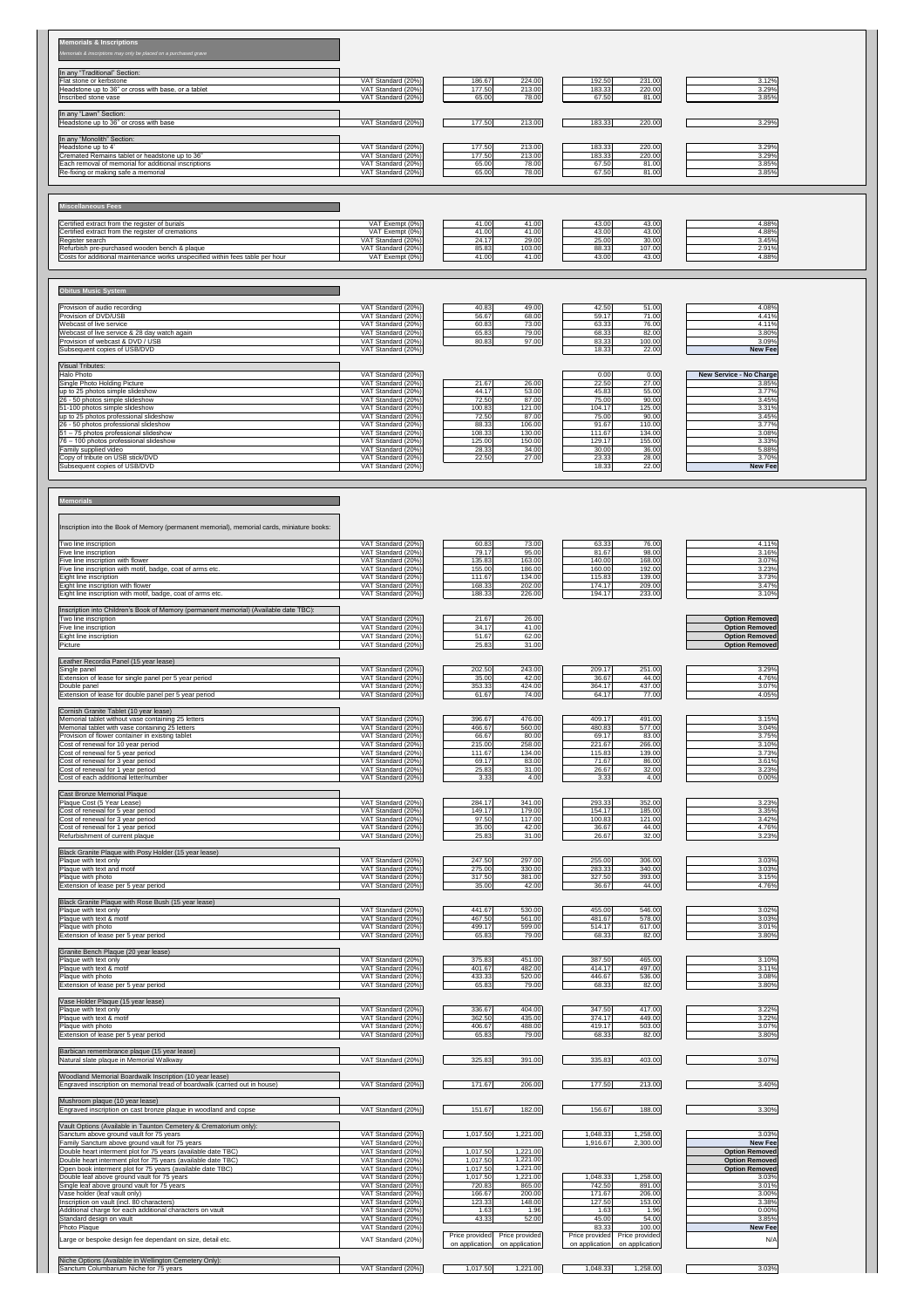### **Memorials & Inscriptions**

*Memorials & inscriptions may only be placed on a purchased grave* 

| In any "Traditional" Section:                        |                    |        |        |        |        |       |
|------------------------------------------------------|--------------------|--------|--------|--------|--------|-------|
| Flat stone or kerbstone                              | VAT Standard (20%) | 186.67 | 224.00 | 192.50 | 231.00 | 3.12% |
| Headstone up to 36" or cross with base, or a tablet  | VAT Standard (20%) | 177.50 | 213.00 | 183.33 | 220.00 | 3.29% |
| Inscribed stone vase                                 | VAT Standard (20%) | 65.00  | 78.00  | 67.50  | 81.00  | 3.85% |
|                                                      |                    |        |        |        |        |       |
| In any "Lawn" Section:                               |                    |        |        |        |        |       |
| Headstone up to 36" or cross with base               | VAT Standard (20%) | 177.50 | 213.00 | 183.33 | 220.00 | 3.29% |
|                                                      |                    |        |        |        |        |       |
| In any "Monolith" Section:                           |                    |        |        |        |        |       |
| Headstone up to 4'                                   | VAT Standard (20%) | 177.50 | 213.00 | 183.33 | 220.00 | 3.29% |
| Cremated Remains tablet or headstone up to 36"       | VAT Standard (20%) | 177.50 | 213.00 | 183.33 | 220.00 | 3.29% |
| Each removal of memorial for additional inscriptions | VAT Standard (20%) | 65.00  | 78.00  | 67.50  | 81.00  | 3.85% |
| Re-fixing or making safe a memorial                  | VAT Standard (20%) | 65.00  | 78.00  | 67.50  | 81.00  | 3.85% |
|                                                      |                    |        |        |        |        |       |

# **Miscellaneous Fees**

| Certified extract from the register of burials                                | VAT Exempt $(0%)$  | 41.OC | 41.00  | 43.00 | 43.00  | $4.88\%$ |
|-------------------------------------------------------------------------------|--------------------|-------|--------|-------|--------|----------|
| Certified extract from the register of cremations                             | VAT Exempt (0%)    | 41.OC | 11.00  | 43.00 | 43.OC  | $4.88\%$ |
| <b>Register search</b>                                                        | VAT Standard (20%) | 24.17 | 29.00  | 25.00 | 30.00  | 3.45%    |
| Refurbish pre-purchased wooden bench & plaque                                 | VAT Standard (20%) | 85.83 | 103.00 | 88.33 | 107.00 | 2.91%    |
| Costs for additional maintenance works unspecified within fees table per hour | VAT Exempt (0%)    | 41.OC | 41.00  | 43.00 | 43.00  | 1.88%    |

### **Obitus Music System**

| <b>Provision of audio recording</b>          | VAT Standard (20%) | 40.83 | 49.00  | 42.50 | 51.00  | 4.08%          |
|----------------------------------------------|--------------------|-------|--------|-------|--------|----------------|
| <b>Provision of DVD/USB</b>                  | VAT Standard (20%) | 56.67 | 68.00l | 59.17 | 71.00  | 4.41%          |
| Webcast of live service                      | VAT Standard (20%) | 60.83 | 73.00  | 63.33 | 76.00  | 4.11%          |
| Webcast of live service & 28 day watch again | VAT Standard (20%) | 65.83 | 79.00l | 68.33 | 82.00  | 3.80%          |
| <b>Provision of webcast &amp; DVD / USB</b>  | VAT Standard (20%) | 80.83 | 97.00  | 83.33 | 100.00 | 3.09%          |
| Subsequent copies of USB/DVD                 | VAT Standard (20%) |       |        | 18.33 | 22.00  | <b>New Fee</b> |

| <b>Visual Tributes:</b>                   |                    |        |        |        |        |                                |
|-------------------------------------------|--------------------|--------|--------|--------|--------|--------------------------------|
| Halo Photo                                | VAT Standard (20%) |        |        | 0.00   | 0.00   | <b>New Service - No Charge</b> |
| Single Photo Holding Picture              | VAT Standard (20%) | 21.67  | 26.00  | 22.50  | 27.00  | 3.85%                          |
| up to 25 photos simple slideshow          | VAT Standard (20%) | 44.17  | 53.00  | 45.83  | 55.00  | 3.77%                          |
| 26 - 50 photos simple slideshow           | VAT Standard (20%) | 72.50  | 87.00  | 75.00  | 90.00  | 3.45%                          |
| 51-100 photos simple slideshow            | VAT Standard (20%) | 100.83 | 121.00 | 104.17 | 125.00 | 3.31%                          |
| up to 25 photos professional slideshow    | VAT Standard (20%) | 72.50  | 87.00  | 75.00  | 90.00  | 3.45%                          |
| 26 - 50 photos professional slideshow     | VAT Standard (20%) | 88.33  | 106.00 | 91.67  | 110.00 | 3.77%                          |
| $ 51 - 75$ photos professional slideshow  | VAT Standard (20%) | 108.33 | 130.00 | 111.67 | 134.00 | 3.08%                          |
| $ 76 - 100$ photos professional slideshow | VAT Standard (20%) | 125.00 | 150.00 | 129.17 | 155.00 | 3.33%                          |
| <b>Family supplied video</b>              | VAT Standard (20%) | 28.33  | 34.00  | 30.00  | 36.00  | 5.88%                          |
| Copy of tribute on USB stick/DVD          | VAT Standard (20%) | 22.50  | 27.00  | 23.33  | 28.00  | 3.70%                          |
| Subsequent copies of USB/DVD              | VAT Standard (20%) |        |        | 18.33  | 22.00  | <b>New Fee</b>                 |

**Memorials**

| Inscription into the Book of Memory (permanent memorial), memorial cards, miniature books: |                    |        |        |        |        |                       |
|--------------------------------------------------------------------------------------------|--------------------|--------|--------|--------|--------|-----------------------|
| Two line inscription                                                                       | VAT Standard (20%) | 60.83  | 73.00  | 63.33  | 76.00  | 4.11%                 |
| Five line inscription                                                                      | VAT Standard (20%) | 79.17  | 95.00  | 81.67  | 98.00  | 3.16%                 |
| Five line inscription with flower                                                          | VAT Standard (20%) | 135.83 | 163.00 | 140.00 | 168.00 | 3.07%                 |
| Five line inscription with motif, badge, coat of arms etc.                                 | VAT Standard (20%) | 155.00 | 186.00 | 160.00 | 192.00 | 3.23%                 |
| Eight line inscription                                                                     | VAT Standard (20%) | 111.67 | 134.00 | 115.83 | 139.00 | 3.73%                 |
| Eight line inscription with flower                                                         | VAT Standard (20%) | 168.33 | 202.00 | 174.17 | 209.00 | 3.47%                 |
| Eight line inscription with motif, badge, coat of arms etc.                                | VAT Standard (20%) | 188.33 | 226.00 | 194.17 | 233.00 | 3.10%                 |
|                                                                                            |                    |        |        |        |        |                       |
| Inscription into Children's Book of Memory (permanent memorial) (Available date TBC):      |                    |        |        |        |        |                       |
| Two line inscription                                                                       | VAT Standard (20%) | 21.67  | 26.00  |        |        | <b>Option Removed</b> |
| Five line inscription                                                                      | VAT Standard (20%) | 34.17  | 41.00  |        |        | <b>Option Removed</b> |
| Eight line inscription                                                                     | VAT Standard (20%) | 51.67  | 62.00  |        |        | <b>Option Removed</b> |
| Picture                                                                                    | VAT Standard (20%) | 25.83  | 31.00  |        |        | <b>Option Removed</b> |
|                                                                                            |                    |        |        |        |        |                       |
| Leather Recordia Panel (15 year lease)                                                     |                    |        |        |        |        |                       |
| Single panel                                                                               | VAT Standard (20%) | 202.50 | 243.00 | 209.17 | 251.00 | 3.29%                 |
| Extension of lease for single panel per 5 year period                                      | VAT Standard (20%) | 35.00  | 42.00  | 36.67  | 44.00  | 4.76%                 |
| Double panel                                                                               | VAT Standard (20%) | 353.33 | 424.00 | 364.17 | 437.00 | 3.07%                 |
| Extension of lease for double panel per 5 year period                                      | VAT Standard (20%) | 61.67  | 74.00  | 64.17  | 77.00  | 4.05%                 |
|                                                                                            |                    |        |        |        |        |                       |
| Cornish Granite Tablet (10 year lease)                                                     |                    |        |        |        |        |                       |
| Memorial tablet without vase containing 25 letters                                         | VAT Standard (20%) | 396.67 | 476.00 | 409.17 | 491.00 | 3.15%                 |
| Memorial tablet with vase containing 25 letters                                            | VAT Standard (20%) | 466.67 | 560.00 | 480.83 | 577.00 | 3.04%                 |
| Provision of flower container in existing tablet                                           | VAT Standard (20%) | 66.67  | 80.00  | 69.17  | 83.00  | 3.75%                 |
| Cost of renewal for 10 year period                                                         | VAT Standard (20%) | 215.00 | 258.00 | 221.67 | 266.00 | 3.10%                 |
| Cost of renewal for 5 year period                                                          | VAT Standard (20%) | 111.67 | 134.00 | 115.83 | 139.00 | 3.73%                 |
| Cost of renewal for 3 year period                                                          | VAT Standard (20%) | 69.17  | 83.00  | 71.67  | 86.00  | 3.61%                 |
| Cost of renewal for 1 year period                                                          | VAT Standard (20%) | 25.83  | 31.00  | 26.67  | 32.00  | 3.23%                 |
| Cost of each additional letter/number                                                      | VAT Standard (20%) | 3.33   | 4.00   | 3.33   | 4.00   | 0.00%                 |
| <b>Cast Bronze Memorial Plaque</b>                                                         |                    |        |        |        |        |                       |
| Plaque Cost (5 Year Lease)                                                                 | VAT Standard (20%) | 284.17 | 341.00 | 293.33 | 352.00 | 3.23%                 |
| Cost of renewal for 5 year period                                                          | VAT Standard (20%) | 149.17 | 179.00 | 154.17 | 185.00 | 3.35%                 |
| Cost of renewal for 3 year period                                                          | VAT Standard (20%) | 97.50  | 117.00 | 100.83 | 121.00 | 3.42%                 |
| Cost of renewal for 1 year period                                                          | VAT Standard (20%) | 35.00  | 42.00  | 36.67  | 44.00  | 4.76%                 |
| Refurbishment of current plaque                                                            | VAT Standard (20%) | 25.83  | 31.00  | 26.67  | 32.00  | 3.23%                 |
|                                                                                            |                    |        |        |        |        |                       |
| Black Granite Plaque with Posy Holder (15 year lease)                                      |                    |        |        |        |        |                       |
| Plaque with text only                                                                      | VAT Standard (20%) | 247.50 | 297.00 | 255.00 | 306.00 | 3.03%                 |
| Plaque with text and motif                                                                 | VAT Standard (20%) | 275.00 | 330.00 | 283.33 | 340.00 | 3.03%                 |
| Plaque with photo                                                                          | VAT Standard (20%) | 317.50 | 381.00 | 327.50 | 393.00 | 3.15%                 |
| Extension of lease per 5 year period                                                       | VAT Standard (20%) | 35.00  | 42.00  | 36.67  | 44.00  | 4.76%                 |
|                                                                                            |                    |        |        |        |        |                       |
| Black Granite Plaque with Rose Bush (15 year lease)                                        |                    |        |        |        |        |                       |
| Plaque with text only                                                                      | VAT Standard (20%) | 441.67 | 530.00 | 455.00 | 546.00 | 3.02%                 |
| Plaque with text & motif                                                                   | VAT Standard (20%) | 467.50 | 561.00 | 481.67 | 578.00 | 3.03%                 |
| Plaque with photo                                                                          | VAT Standard (20%) | 499.17 | 599.00 | 514.17 | 617.00 | 3.01%                 |
| Extension of lease per 5 year period                                                       | VAT Standard (20%) | 65.83  | 79.00  | 68.33  | 82.00  | 3.80%                 |
|                                                                                            |                    |        |        |        |        |                       |
| Granite Bench Plaque (20 year lease)<br>Plaque with text only                              | VAT Standard (20%) | 375.83 | 451.00 | 387.50 | 465.00 | 3.10%                 |
| Plaque with text & motif                                                                   | VAT Standard (20%) | 401.67 | 482.00 | 414.17 | 497.00 | 3.11%                 |
|                                                                                            |                    |        |        |        |        |                       |

Plaque with photo VAT Standard (20%) 433.33 520.00 446.67 536.00 3.08%

| Extension of lease per 5 year period                                       | VAT Standard (20%) | 65.83          | 79.00          | 68.33          | 82.00          | $3.80\%$              |
|----------------------------------------------------------------------------|--------------------|----------------|----------------|----------------|----------------|-----------------------|
|                                                                            |                    |                |                |                |                |                       |
| Vase Holder Plaque (15 year lease)                                         |                    |                |                |                |                |                       |
| Plaque with text only                                                      | VAT Standard (20%) | 336.67         | 404.00         | 347.50         | 417.00         | 3.22%                 |
| Plaque with text & motif                                                   | VAT Standard (20%) | 362.50         | 435.00         | 374.17         | 449.00         | 3.22%                 |
| Plaque with photo                                                          | VAT Standard (20%) | 406.67         | 488.00         | 419.17         | 503.00         | 3.07%                 |
| Extension of lease per 5 year period                                       | VAT Standard (20%) | 65.83          | 79.00          | 68.33          | 82.00          | 3.80%                 |
|                                                                            |                    |                |                |                |                |                       |
| Barbican remembrance plaque (15 year lease)                                |                    |                |                |                |                |                       |
| Natural slate plaque in Memorial Walkway                                   | VAT Standard (20%) | 325.83         | 391.00         | 335.83         | 403.00         | 3.07%                 |
|                                                                            |                    |                |                |                |                |                       |
| Woodland Memorial Boardwalk Inscription (10 year lease)                    |                    |                |                |                |                |                       |
| Engraved inscription on memorial tread of boardwalk (carried out in house) | VAT Standard (20%) | 171.67         | 206.00         | 177.50         | 213.00         | 3.40%                 |
|                                                                            |                    |                |                |                |                |                       |
| Mushroom plaque (10 year lease)                                            |                    |                |                |                |                |                       |
| Engraved inscription on cast bronze plaque in woodland and copse           | VAT Standard (20%) | 151.67         | 182.00         | 156.67         | 188.00         | 3.30%                 |
|                                                                            |                    |                |                |                |                |                       |
| Vault Options (Available in Taunton Cemetery & Crematorium only):          |                    |                |                |                |                |                       |
| Sanctum above ground vault for 75 years                                    | VAT Standard (20%) | 1,017.50       | 1,221.00       | 1,048.33       | 1,258.00       | 3.03%                 |
| Family Sanctum above ground vault for 75 years                             | VAT Standard (20%) |                |                | 1,916.67       | 2,300.00       | <b>New Fee</b>        |
| Double heart interment plot for 75 years (available date TBC)              | VAT Standard (20%) | 1,017.50       | 1,221.00       |                |                | <b>Option Removed</b> |
| Double heart interment plot for 75 years (available date TBC)              | VAT Standard (20%) | 1,017.50       | 1,221.00       |                |                | <b>Option Removed</b> |
| Open book interment plot for 75 years (available date TBC)                 | VAT Standard (20%) | 1,017.50       | 1,221.00       |                |                | <b>Option Removed</b> |
| Double leaf above ground vault for 75 years                                | VAT Standard (20%) | 1,017.50       | 1,221.00       | 1,048.33       | 1,258.00       | 3.03%                 |
| Single leaf above ground vault for 75 years                                | VAT Standard (20%) | 720.83         | 865.00         | 742.50         | 891.00         | 3.01%                 |
| Vase holder (leaf vault only)                                              | VAT Standard (20%) | 166.67         | 200.00         | 171.67         | 206.00         | 3.00%                 |
| Inscription on vault (incl. 80 characters)                                 | VAT Standard (20%) | 123.33         | 148.00         | 127.50         | 153.00         | 3.38%                 |
| Additional charge for each additional characters on vault                  | VAT Standard (20%) | 1.63           | 1.96           | 1.63           | 1.96           | 0.00%                 |
| Standard design on vault                                                   | VAT Standard (20%) | 43.33          | 52.00          | 45.00          | 54.00          | 3.85%                 |
| Photo Plaque                                                               | VAT Standard (20%) |                |                | 83.33          | 100.00         | <b>New Fee</b>        |
| Large or bespoke design fee dependant on size, detail etc.                 | VAT Standard (20%) | Price provided | Price provided | Price provided | Price provided | N/A                   |
|                                                                            |                    | on application | on application | on application | on application |                       |
|                                                                            |                    |                |                |                |                |                       |
| Niche Options (Available in Wellington Cemetery Only):                     |                    |                |                |                |                |                       |
| Sanctum Columbarium Niche for 75 years                                     | VAT Standard (20%) | 1,017.50       | 1,221.00       | 1,048.33       | 1,258.00       | 3.03%                 |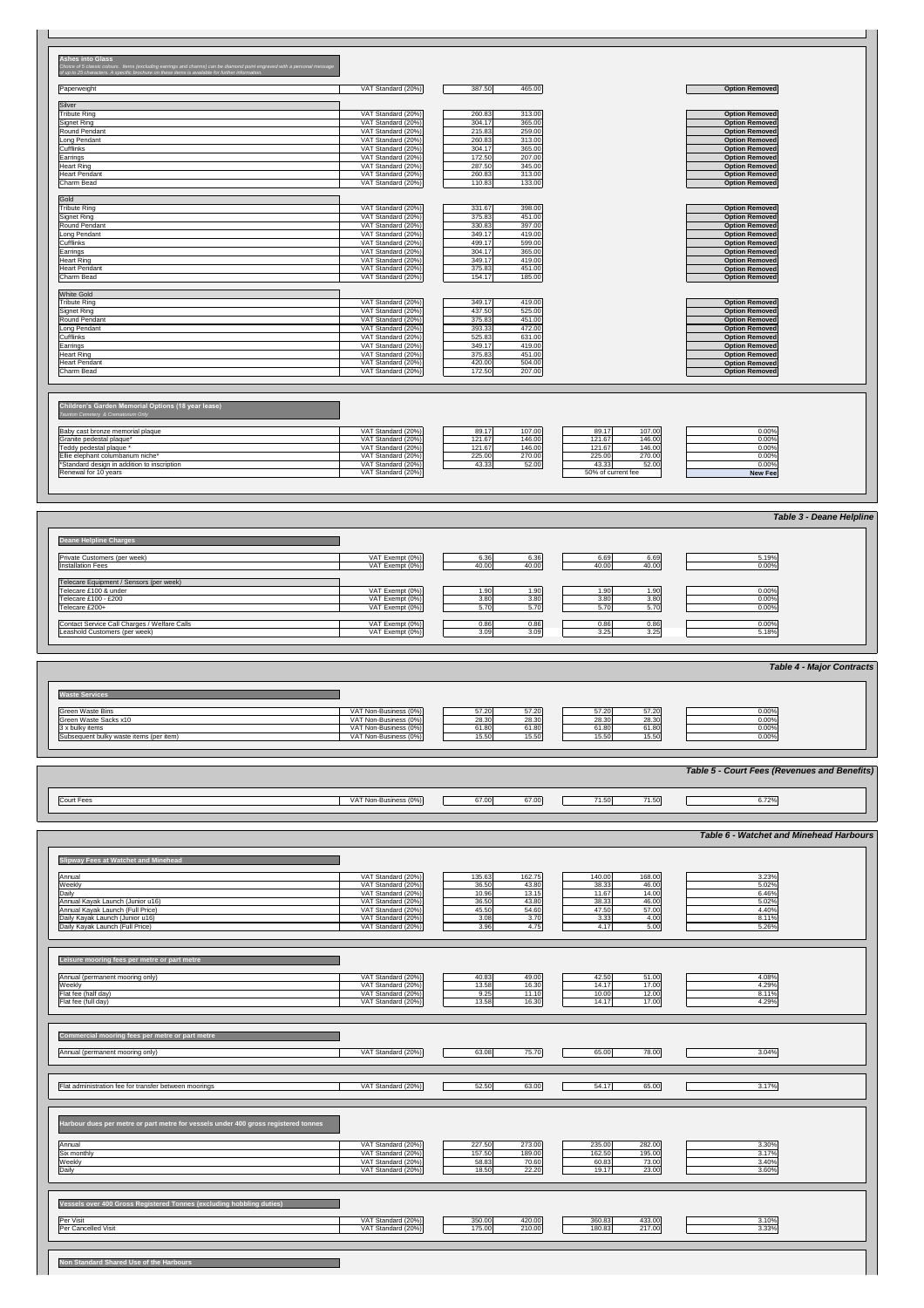#### **Ashes into Glass**

*Choice of 5 classic colours. Items (excluding earrings and charms) can be diamond point engraved with a personal message* 

*of up to 25 characters. A specific brochure on these items is available for further information.*

| Paperweight                                        | VAT Standard (20%) | 387.50<br>465.00 | <b>Option Removed</b> |
|----------------------------------------------------|--------------------|------------------|-----------------------|
|                                                    |                    |                  |                       |
| Silver                                             |                    |                  |                       |
| <b>Tribute Ring</b>                                | VAT Standard (20%) | 260.83<br>313.00 | <b>Option Removed</b> |
| Signet Ring                                        | VAT Standard (20%) | 304.17<br>365.00 | <b>Option Removed</b> |
| Round Pendant                                      | VAT Standard (20%) | 259.00<br>215.83 | <b>Option Removed</b> |
| Long Pendant                                       | VAT Standard (20%) | 260.83<br>313.00 | <b>Option Removed</b> |
| <b>Cufflinks</b>                                   | VAT Standard (20%) | 304.17<br>365.00 | <b>Option Removed</b> |
| Earrings                                           | VAT Standard (20%) | 207.00<br>172.50 | <b>Option Removed</b> |
| Heart Ring                                         | VAT Standard (20%) | 287.50<br>345.00 | <b>Option Removed</b> |
| Heart Pendant                                      | VAT Standard (20%) | 260.83<br>313.00 | <b>Option Removed</b> |
| Charm Bead                                         | VAT Standard (20%) | 133.00<br>110.83 | <b>Option Removed</b> |
|                                                    |                    |                  |                       |
| Gold                                               |                    |                  |                       |
| <b>Tribute Ring</b>                                | VAT Standard (20%) | 398.00<br>331.67 | <b>Option Removed</b> |
| Signet Ring                                        | VAT Standard (20%) | 451.00<br>375.83 | <b>Option Removed</b> |
| Round Pendant                                      | VAT Standard (20%) | 330.83<br>397.00 | <b>Option Removed</b> |
| Long Pendant                                       | VAT Standard (20%) | 349.17<br>419.00 | <b>Option Removed</b> |
| <b>Cufflinks</b>                                   | VAT Standard (20%) | 599.00<br>499.17 | <b>Option Removed</b> |
| Earrings                                           | VAT Standard (20%) | 304.17<br>365.00 | <b>Option Removed</b> |
| Heart Ring                                         | VAT Standard (20%) | 419.00<br>349.17 | <b>Option Removed</b> |
| Heart Pendant                                      | VAT Standard (20%) | 375.83<br>451.00 | <b>Option Removed</b> |
| Charm Bead                                         | VAT Standard (20%) | 154.17<br>185.00 | <b>Option Removed</b> |
|                                                    |                    |                  |                       |
| <b>White Gold</b>                                  |                    |                  |                       |
| Tribute Ring                                       | VAT Standard (20%) | 349.17<br>419.00 | <b>Option Removed</b> |
| Signet Ring                                        | VAT Standard (20%) | 437.50<br>525.00 | <b>Option Removed</b> |
| Round Pendant                                      | VAT Standard (20%) | 375.83<br>451.00 | <b>Option Removed</b> |
| Long Pendant                                       | VAT Standard (20%) | 393.33<br>472.00 | <b>Option Removed</b> |
| Cufflinks                                          | VAT Standard (20%) | 525.83<br>631.00 | <b>Option Removed</b> |
| Earrings                                           | VAT Standard (20%) | 349.17<br>419.00 | <b>Option Removed</b> |
| Heart Ring                                         | VAT Standard (20%) | 375.83<br>451.00 | <b>Option Removed</b> |
| Heart Pendant                                      | VAT Standard (20%) | 420.00<br>504.00 | <b>Option Removed</b> |
| Charm Bead                                         | VAT Standard (20%) | 172.50<br>207.00 | <b>Option Removed</b> |
|                                                    |                    |                  |                       |
|                                                    |                    |                  |                       |
|                                                    |                    |                  |                       |
| Children's Garden Memorial Options (18 year lease) |                    |                  |                       |
|                                                    |                    |                  |                       |

*Taunton Cemetery & Crematorium Only*

| <b>Green Waste Bins</b>                 | VAT Non-Business (0%) | 57.20<br>57.20 | 57.20<br>57.20 | 0.00% |
|-----------------------------------------|-----------------------|----------------|----------------|-------|
| Green Waste Sacks x10                   | VAT Non-Business (0%) | 28.30<br>28.30 | 28.30<br>28.30 | 0.00% |
| $3x$ bulky items                        | VAT Non-Business (0%) | 61.80<br>61.80 | 61.80<br>61.80 | 0.00% |
| Subsequent bulky waste items (per item) | VAT Non-Business (0%) | 15.50<br>15.50 | 15.50<br>15.50 | 0.00% |

| Baby cast bronze memorial plaque_          | VAT Standard (20%) | 89.17  | 107.00 | 89.17              | 107.00 | 0.00%          |
|--------------------------------------------|--------------------|--------|--------|--------------------|--------|----------------|
| Sranite pedestal plaque*                   | VAT Standard (20%) | 121.67 | 146.00 | 121.67             | 146.00 | 0.00%          |
| Teddy pedestal plaque '                    | VAT Standard (20%) | 121.67 | 146.00 | 121.67             | 146.00 | 0.00%          |
| Ellie elephant columbarium niche*          | VAT Standard (20%) | 225.00 | 270.00 | 225.00             | 270.00 | 0.00%          |
| Standard design in addition to inscription | VAT Standard (20%) | 43.33  | 52.00  | 43.33              | 52.00  | 0.00%          |
| Renewal for 10 years                       | VAT Standard (20%) |        |        | 50% of current fee |        | <b>New Fee</b> |

|                                                                               |                                                   |                                |                                | <b>Table 3 - Deane Helpline</b> |
|-------------------------------------------------------------------------------|---------------------------------------------------|--------------------------------|--------------------------------|---------------------------------|
| Deane Helpline Charges                                                        |                                                   |                                |                                |                                 |
| <b>Private Customers (per week)</b><br>Installation Fees                      | $\overline{VAT}$ Exempt (0%)<br>VAT Exempt $(0%)$ | 6.36<br>6.36<br>40.00<br>40.00 | 6.69<br>6.69<br>40.00<br>40.00 | 5.19%<br>$0.00\%$               |
| Telecare Equipment / Sensors (per week)                                       |                                                   |                                |                                |                                 |
| Telecare £100 & under<br>Telecare £100 - £200                                 | VAT Exempt (0%)<br>VAT Exempt (0%)                | 1.90<br>1.90<br>3.80<br>3.80   | 1.90<br>1.90<br>3.80<br>3.80   | 0.00%<br>0.00%                  |
| Telecare £200+                                                                | VAT Exempt (0%)                                   | 5.70<br>5.70                   | 5.70<br>5.70                   | 0.00%                           |
| Contact Service Call Charges / Welfare Calls<br>Leashold Customers (per week) | VAT Exempt (0%)<br>VAT Exempt (0%)                | 0.86<br>0.86<br>3.09<br>3.09   | 0.86<br>0.86<br>3.25<br>3.25   | $0.00\%$<br>5.18%               |
|                                                                               |                                                   |                                |                                |                                 |

| Annual<br>ot mooring only,<br>леннаг | $\cdots$<br>$\sqrt{2}$<br><u>Jialiualu (20)</u><br>$\Gamma$                         | 40.83 | 10. UV<br>  | $\sqrt{2}$ | $-1$ $\sim$<br>J1.00. | 4.08% |  |
|--------------------------------------|-------------------------------------------------------------------------------------|-------|-------------|------------|-----------------------|-------|--|
| <b>Weekly</b>                        | $\cdots$<br>$\sim$ $\sim$ $\sim$ $\sim$ $\sim$ $\sim$<br>$\mathbf{C}$<br>$\sqrt{ }$ | יט.טו | <b>10.3</b> | .          | 77.UUF                | 1.29% |  |

|                                              |                    |                  |                  | <b>Table 6 - Watchet and Minehead Harbours</b> |
|----------------------------------------------|--------------------|------------------|------------------|------------------------------------------------|
| <b>Slipway Fees at Watchet and Minehead</b>  |                    |                  |                  |                                                |
| Annual                                       | VAT Standard (20%) | 162.75<br>135.63 | 168.00<br>140.00 | 3.23%                                          |
| Weekly                                       | VAT Standard (20%) | 43.80<br>36.50   | 46.00<br>38.33   | 5.02%                                          |
| Daily                                        | VAT Standard (20%) | 10.96<br>13.15   | 14.00<br>11.67   | 6.46%                                          |
| Annual Kayak Launch (Junior u16)             | VAT Standard (20%) | 43.80<br>36.50   | 46.00<br>38.33   | 5.02%                                          |
| Annual Kayak Launch (Full Price)             | VAT Standard (20%) | 54.60<br>45.50   | 57.00<br>47.50   | 4.40%                                          |
| Daily Kayak Launch (Junior u16)              | VAT Standard (20%) | 3.70<br>3.08     | 4.00<br>3.33     | 8.11%                                          |
| Daily Kayak Launch (Full Price)              | VAT Standard (20%) | 3.96<br>4.75     | 5.00<br>4.17     | 5.26%                                          |
|                                              |                    |                  |                  |                                                |
|                                              |                    |                  |                  |                                                |
|                                              |                    |                  |                  |                                                |
| Leisure mooring fees per metre or part metre |                    |                  |                  |                                                |
|                                              |                    |                  |                  |                                                |

|            |                       |       |                             | Table 5 - Court Fees (Revenues and Benefits) |
|------------|-----------------------|-------|-----------------------------|----------------------------------------------|
| Court Fees | VAT Non-Business (0%) | 67.00 | 71.50 <sub>1</sub><br>71.50 | 6.72%                                        |

| Flat fee (half day)<br>Flat fee (full day)                                                                                                          | VAT Standard (20%)<br>VAT Standard (20%)                                             | 9.25<br>11.10<br>13.58<br>16.30                                          | 10.00<br>12.00<br>17.00<br>14.17                                         | 8.11%<br>4.29%                   |
|-----------------------------------------------------------------------------------------------------------------------------------------------------|--------------------------------------------------------------------------------------|--------------------------------------------------------------------------|--------------------------------------------------------------------------|----------------------------------|
| Commercial mooring fees per metre or part metre<br>Annual (permanent mooring only)                                                                  | VAT Standard (20%)                                                                   | 63.08<br>75.70                                                           | 65.00<br>78.00                                                           | 3.04%                            |
| Flat administration fee for transfer between moorings                                                                                               | VAT Standard (20%)                                                                   | 52.50<br>63.00                                                           | 54.17<br>65.00                                                           | 3.17%                            |
| Harbour dues per metre or part metre for vessels under 400 gross registered tonnes<br>Annual<br>Six monthly<br>Weekly<br>Daily                      | VAT Standard (20%)<br>VAT Standard (20%)<br>VAT Standard (20%)<br>VAT Standard (20%) | 273.00<br>227.50<br>189.00<br>157.50<br>58.83<br>70.60<br>18.50<br>22.20 | 235.00<br>282.00<br>162.50<br>195.00<br>73.00<br>60.83<br>19.17<br>23.00 | 3.30%<br>3.17%<br>3.40%<br>3.60% |
| Vessels over 400 Gross Registered Tonnes (excluding hobbling duties)<br>Per Visit<br>Per Cancelled Visit<br>Non Standard Shared Use of the Harbours | VAT Standard (20%)<br>VAT Standard (20%)                                             | 420.00<br>350.00<br>175.00<br>210.00                                     | 360.83<br>433.00<br>180.83<br>217.00                                     | 3.10%<br>3.33%                   |
|                                                                                                                                                     |                                                                                      |                                                                          |                                                                          |                                  |

*Table 4 - Major Contracts*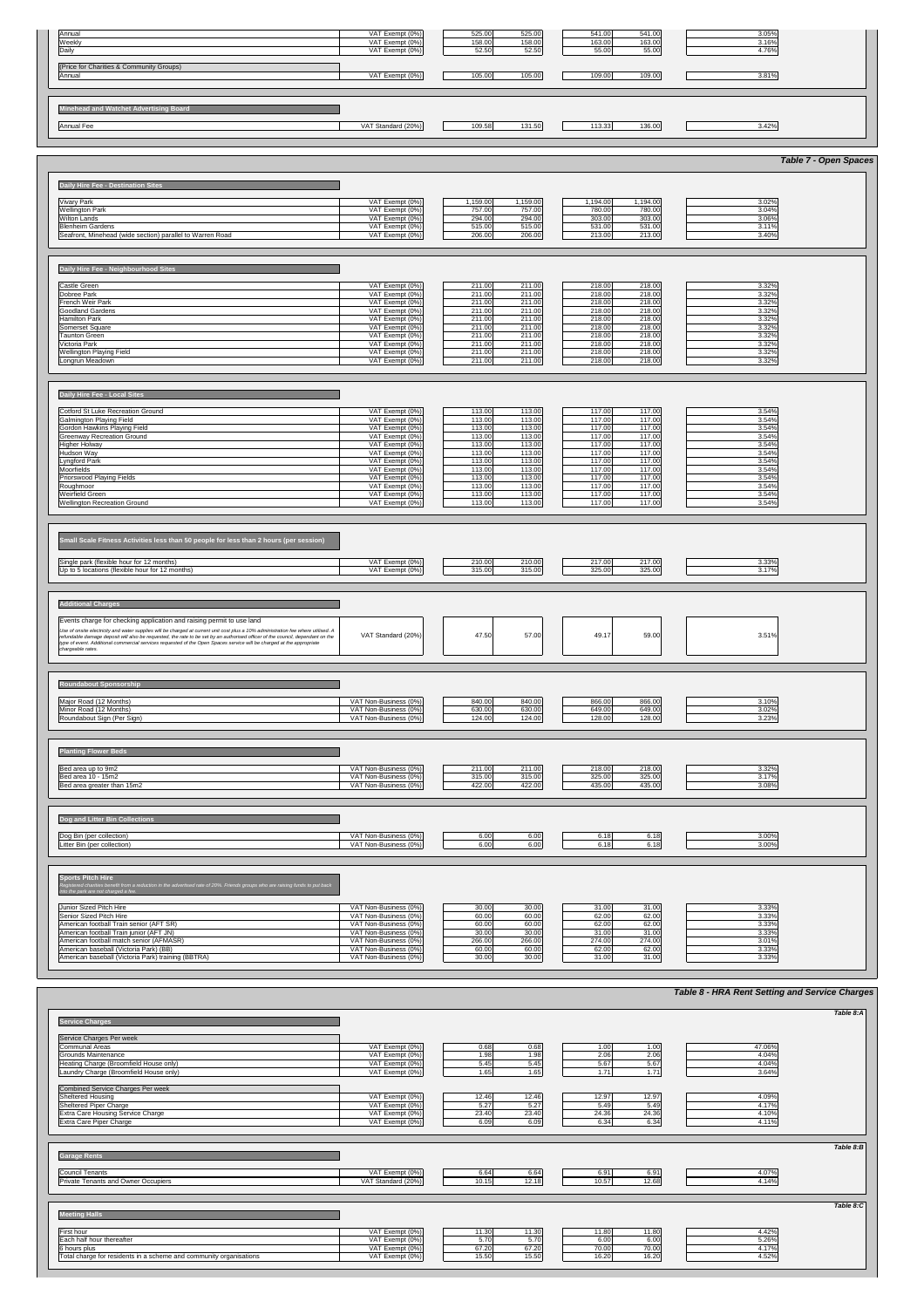| Annual                                             | VAT Exempt (0%)    | 525.00 | 525.00 | 541.00 | 541.00 | 3.05% |  |
|----------------------------------------------------|--------------------|--------|--------|--------|--------|-------|--|
| <b>Weekly</b>                                      | VAT Exempt (0%)    | 158.00 | 158.00 | 163.00 | 163.00 | 3.16% |  |
| Daily                                              | VAT Exempt (0%)    | 52.50  | 52.50  | 55.00  | 55.00  | 4.76% |  |
| (Price for Charities & Community Groups)<br>Annual | VAT Exempt (0%)    | 105.00 | 105.00 | 109.00 | 109.00 | 3.81% |  |
|                                                    |                    |        |        |        |        |       |  |
|                                                    |                    |        |        |        |        |       |  |
|                                                    |                    |        |        |        |        |       |  |
| Annual Fee                                         | VAT Standard (20%) | 109.58 | 131.50 | 113.33 | 136.00 | 3.42% |  |
|                                                    |                    |        |        |        |        |       |  |
|                                                    |                    |        |        |        |        |       |  |
| Minehead and Watchet Advertising Board             |                    |        |        |        |        |       |  |

## **Daily Hire Fee - Local Sites**

|                                                           |                 |                      |                      | <b>Table 7 - Open Spaces</b> |
|-----------------------------------------------------------|-----------------|----------------------|----------------------|------------------------------|
| Daily Hire Fee - Destination Sites                        |                 |                      |                      |                              |
| <b>Vivary Park</b>                                        | VAT Exempt (0%) | 1,159.00<br>1,159.00 | 1,194.00<br>1,194.00 | 3.02%                        |
| <b>Wellington Park</b>                                    | VAT Exempt (0%) | 757.00<br>757.00     | 780.00<br>780.00     | 3.04%                        |
| <b>Wilton Lands</b>                                       | VAT Exempt (0%) | 294.00<br>294.00     | 303.00<br>303.00     | 3.06%                        |
| <b>Blenheim Gardens</b>                                   | VAT Exempt (0%) | 515.00<br>515.00     | 531.00<br>531.00     | 3.11%                        |
| Seafront, Minehead (wide section) parallel to Warren Road | VAT Exempt (0%) | 206.00<br>206.00     | 213.00<br>213.00     | 3.40%                        |
|                                                           |                 |                      |                      |                              |
| Daily Hire Fee - Neighbourhood Sites                      |                 |                      |                      |                              |
| Castle Green                                              | VAT Exempt (0%) | 211.00<br>211.00     | 218.00<br>218.00     | 3.32%                        |
| Dobree Park                                               | VAT Exempt (0%) | 211.00<br>211.00     | 218.00<br>218.00     | 3.32%                        |
| French Weir Park                                          | VAT Exempt (0%) | 211.00<br>211.00     | 218.00<br>218.00     | 3.32%                        |
| Goodland Gardens                                          | VAT Exempt (0%) | 211.00<br>211.00     | 218.00<br>218.00     | 3.32%                        |
| Hamilton Park                                             | VAT Exempt (0%) | 211.00<br>211.00     | 218.00<br>218.00     | 3.32%                        |
| Somerset Square                                           | VAT Exempt (0%) | 211.00<br>211.00     | 218.00<br>218.00     | 3.32%                        |
| Taunton Green                                             | VAT Exempt (0%) | 211.00<br>211.00     | 218.00<br>218.00     | 3.32%                        |
| Victoria Park                                             | VAT Exempt (0%) | 211.00<br>211.00     | 218.00<br>218.00     | 3.32%                        |
| <b>Wellington Playing Field</b>                           | VAT Exempt (0%) | 211.00<br>211.00     | 218.00<br>218.00     | 3.32%                        |
| Longrun Meadown                                           | VAT Exempt (0%) | 211.00<br>211.00     | 218.00<br>218.00     | 3.32%                        |

| Cotford St Luke Recreation Ground                                                                                                                                                                                                                                   | VAT Exempt (0%)                                | 113.00<br>113.00                     | 117.00<br>117.00                     | 3.54%          |
|---------------------------------------------------------------------------------------------------------------------------------------------------------------------------------------------------------------------------------------------------------------------|------------------------------------------------|--------------------------------------|--------------------------------------|----------------|
| <b>Galmington Playing Field</b><br>Gordon Hawkins Playing Field                                                                                                                                                                                                     | VAT Exempt (0%)<br>VAT Exempt (0%)             | 113.00<br>113.00<br>113.00<br>113.00 | 117.00<br>117.00<br>117.00<br>117.00 | 3.54%<br>3.54% |
| <b>Greenway Recreation Ground</b>                                                                                                                                                                                                                                   | VAT Exempt (0%)                                | 113.00<br>113.00                     | 117.00<br>117.00                     | 3.54%          |
| Higher Holway                                                                                                                                                                                                                                                       | VAT Exempt (0%)                                | 113.00<br>113.00                     | 117.00<br>117.00                     | 3.54%          |
| Hudson Way                                                                                                                                                                                                                                                          | VAT Exempt (0%)                                | 113.00<br>113.00                     | 117.00<br>117.00                     | 3.54%          |
| Lyngford Park                                                                                                                                                                                                                                                       | VAT Exempt (0%)                                | 113.00<br>113.00                     | 117.00<br>117.00                     | 3.54%          |
| Moorfields                                                                                                                                                                                                                                                          | VAT Exempt (0%)                                | 113.00<br>113.00                     | 117.00<br>117.00                     | 3.54%          |
| Priorswood Playing Fields<br>Roughmoor                                                                                                                                                                                                                              | VAT Exempt (0%)<br>VAT Exempt (0%)             | 113.00<br>113.00<br>113.00<br>113.00 | 117.00<br>117.00<br>117.00<br>117.00 | 3.54%<br>3.54% |
| <b>Weirfield Green</b>                                                                                                                                                                                                                                              | VAT Exempt (0%)                                | 113.00<br>113.00                     | 117.00<br>117.00                     | 3.54%          |
| <b>Wellington Recreation Ground</b>                                                                                                                                                                                                                                 | VAT Exempt (0%)                                | 113.00<br>113.00                     | 117.00<br>117.00                     | 3.54%          |
|                                                                                                                                                                                                                                                                     |                                                |                                      |                                      |                |
|                                                                                                                                                                                                                                                                     |                                                |                                      |                                      |                |
|                                                                                                                                                                                                                                                                     |                                                |                                      |                                      |                |
| Small Scale Fitness Activities less than 50 people for less than 2 hours (per session)                                                                                                                                                                              |                                                |                                      |                                      |                |
|                                                                                                                                                                                                                                                                     |                                                |                                      |                                      |                |
| Single park (flexible hour for 12 months)                                                                                                                                                                                                                           | VAT Exempt (0%)                                | 210.00<br>210.00                     | 217.00<br>217.00                     | 3.33%          |
| Up to 5 locations (flexible hour for 12 months)                                                                                                                                                                                                                     | VAT Exempt (0%)                                | 315.00<br>315.00                     | 325.00<br>325.00                     | 3.17%          |
|                                                                                                                                                                                                                                                                     |                                                |                                      |                                      |                |
|                                                                                                                                                                                                                                                                     |                                                |                                      |                                      |                |
| <b>Additional Charges</b>                                                                                                                                                                                                                                           |                                                |                                      |                                      |                |
|                                                                                                                                                                                                                                                                     |                                                |                                      |                                      |                |
| Events charge for checking application and raising permit to use land                                                                                                                                                                                               |                                                |                                      |                                      |                |
| Use of onsite electricity and water supplies will be charged at current unit cost plus a 10% administration fee where utilised. A<br>refundable damage deposit will also be requested, the rate to be set by an authorised officer of the council, dependant on the | VAT Standard (20%)                             | 47.50<br>57.00                       | 49.17<br>59.00                       | 3.51%          |
| type of event. Additional commercial services requested of the Open Spaces service will be charged at the appropriate                                                                                                                                               |                                                |                                      |                                      |                |
| chargeable rates.                                                                                                                                                                                                                                                   |                                                |                                      |                                      |                |
|                                                                                                                                                                                                                                                                     |                                                |                                      |                                      |                |
|                                                                                                                                                                                                                                                                     |                                                |                                      |                                      |                |
| <b>Roundabout Sponsorship</b>                                                                                                                                                                                                                                       |                                                |                                      |                                      |                |
|                                                                                                                                                                                                                                                                     |                                                |                                      |                                      |                |
| Major Road (12 Months)                                                                                                                                                                                                                                              | VAT Non-Business (0%)                          | 840.00<br>840.00                     | 866.00<br>866.00                     | 3.10%          |
| Minor Road (12 Months)                                                                                                                                                                                                                                              | VAT Non-Business (0%)                          | 630.00<br>630.00                     | 649.00<br>649.00                     | 3.02%          |
| Roundabout Sign (Per Sign)                                                                                                                                                                                                                                          | VAT Non-Business (0%)                          | 124.00<br>124.00                     | 128.00<br>128.00                     | 3.23%          |
|                                                                                                                                                                                                                                                                     |                                                |                                      |                                      |                |
|                                                                                                                                                                                                                                                                     |                                                |                                      |                                      |                |
| <b>Planting Flower Beds</b>                                                                                                                                                                                                                                         |                                                |                                      |                                      |                |
|                                                                                                                                                                                                                                                                     |                                                |                                      |                                      |                |
| Bed area up to 9m2                                                                                                                                                                                                                                                  | VAT Non-Business (0%)                          | 211.00<br>211.00                     | 218.00<br>218.00                     | 3.32%          |
| Bed area 10 - 15m2<br>Bed area greater than 15m2                                                                                                                                                                                                                    | VAT Non-Business (0%)<br>VAT Non-Business (0%) | 315.00<br>315.00<br>422.00<br>422.00 | 325.00<br>325.00<br>435.00           | 3.17%<br>3.08% |
|                                                                                                                                                                                                                                                                     |                                                |                                      | 435.00                               |                |
|                                                                                                                                                                                                                                                                     |                                                |                                      |                                      |                |
|                                                                                                                                                                                                                                                                     |                                                |                                      |                                      |                |
| Dog and Litter Bin Collections                                                                                                                                                                                                                                      |                                                |                                      |                                      |                |
|                                                                                                                                                                                                                                                                     |                                                |                                      |                                      |                |
| Dog Bin (per collection)<br>Litter Bin (per collection)                                                                                                                                                                                                             | VAT Non-Business (0%)<br>VAT Non-Business (0%) | 6.00<br>6.00<br>6.00<br>6.00         | 6.18<br>6.18<br>6.18<br>6.18         | 3.00%<br>3.00% |
|                                                                                                                                                                                                                                                                     |                                                |                                      |                                      |                |
|                                                                                                                                                                                                                                                                     |                                                |                                      |                                      |                |
|                                                                                                                                                                                                                                                                     |                                                |                                      |                                      |                |
| <b>Sports Pitch Hire</b>                                                                                                                                                                                                                                            |                                                |                                      |                                      |                |
| Registered charities benefit from a reduction in the advertised rate of 20%. Friends groups who are raising funds to put back<br>nto the park are not charged a fee.                                                                                                |                                                |                                      |                                      |                |
|                                                                                                                                                                                                                                                                     |                                                |                                      |                                      |                |
| Junior Sized Pitch Hire                                                                                                                                                                                                                                             | VAT Non-Business (0%)                          | 30.00<br>30.00                       | 31.00<br>31.00                       | 3.33%          |
| Senior Sized Pitch Hire                                                                                                                                                                                                                                             | VAT Non-Business (0%)                          | 60.00<br>60.00                       | 62.00<br>62.00                       | 3.33%          |
| American football Train senior (AFT SR)                                                                                                                                                                                                                             | VAT Non-Business (0%)                          | 60.00<br>60.00                       | 62.00<br>62.00                       | 3.33%          |
| American football Train junior (AFT JN)<br>American football match senior (AFMASR)                                                                                                                                                                                  | VAT Non-Business (0%)<br>VAT Non-Business (0%) | 30.00<br>30.00<br>266.00<br>266.00   | 31.00<br>31.00<br>274.00<br>274.00   | 3.33%<br>3.01% |
| American baseball (Victoria Park) (BB)                                                                                                                                                                                                                              | VAT Non-Business (0%)                          | 60.00<br>60.00                       | 62.00<br>62.00                       | 3.33%          |
| American baseball (Victoria Park) training (BBTRA)                                                                                                                                                                                                                  | VAT Non-Business (0%)                          | 30.00<br>30.00                       | 31.00<br>31.00                       | 3.33%          |
|                                                                                                                                                                                                                                                                     |                                                |                                      |                                      |                |

| <b>Service Charges</b> |
|------------------------|
|------------------------|

| Service Charges Per week<br>VAT Exempt (0%)<br>Communal Areas<br>0.68<br>0.68<br>1.00<br>1.00<br>47.06%<br>1.98<br>2.06<br>2.06<br>Grounds Maintenance<br>1.98<br>4.04%<br>VAT Exempt (0%)<br>Heating Charge (Broomfield House only)<br>5.67<br>5.67<br>4.04%<br>VAT Exempt (0%)<br>5.45<br>5.45<br>1.65<br>1.71<br>3.64%<br>Laundry Charge (Broomfield House only)<br>1.65<br>1.71<br>VAT Exempt (0%)<br>Combined Service Charges Per week<br>VAT Exempt (0%)<br>12.46<br>12.97<br>4.09%<br>Sheltered Housing<br>12.46<br>12.97<br>Sheltered Piper Charge<br>5.27<br>5.27<br>5.49<br>4.17%<br>VAT Exempt (0%)<br>5.49<br>23.40<br><b>Extra Care Housing Service Charge</b><br>23.40<br>24.36<br>4.10%<br>VAT Exempt (0%)<br>24.36<br>6.34<br><b>Extra Care Piper Charge</b><br>6.09<br>VAT Exempt (0%)<br>6.34<br>4.11%<br>6.09<br>Table 8: $B$<br><b>Garage Rents</b><br>VAT Exempt (0%)<br>4.07%<br>Council Tenants<br>6.91<br>6.91<br>6.64<br>6.64<br>12.68<br><b>Private Tenants and Owner Occupiers</b><br>12.18<br>10.57<br>VAT Standard (20%)<br>10.15<br>4.14%<br>Table 8:C<br><b>Meeting Halls</b><br>VAT Exempt (0%)<br>11.30<br>11.80<br>4.42%<br><b>First hour</b><br>11.30<br>11.80<br>6.00<br>5.26%<br>Each half hour thereafter<br>5.70<br>5.70<br>6.00<br>VAT Exempt (0%)<br>67.20<br>4.17%<br>6 hours plus<br>67.20<br>70.00<br>70.00<br>VAT Exempt (0%)<br>Total charge for residents in a scheme and community organisations<br>16.20<br>16.20<br>4.52%<br>VAT Exempt (0%)<br>15.50<br>15.50 |  |  |  |
|------------------------------------------------------------------------------------------------------------------------------------------------------------------------------------------------------------------------------------------------------------------------------------------------------------------------------------------------------------------------------------------------------------------------------------------------------------------------------------------------------------------------------------------------------------------------------------------------------------------------------------------------------------------------------------------------------------------------------------------------------------------------------------------------------------------------------------------------------------------------------------------------------------------------------------------------------------------------------------------------------------------------------------------------------------------------------------------------------------------------------------------------------------------------------------------------------------------------------------------------------------------------------------------------------------------------------------------------------------------------------------------------------------------------------------------------------------------------------------------------------------------|--|--|--|
|                                                                                                                                                                                                                                                                                                                                                                                                                                                                                                                                                                                                                                                                                                                                                                                                                                                                                                                                                                                                                                                                                                                                                                                                                                                                                                                                                                                                                                                                                                                  |  |  |  |
|                                                                                                                                                                                                                                                                                                                                                                                                                                                                                                                                                                                                                                                                                                                                                                                                                                                                                                                                                                                                                                                                                                                                                                                                                                                                                                                                                                                                                                                                                                                  |  |  |  |
|                                                                                                                                                                                                                                                                                                                                                                                                                                                                                                                                                                                                                                                                                                                                                                                                                                                                                                                                                                                                                                                                                                                                                                                                                                                                                                                                                                                                                                                                                                                  |  |  |  |
|                                                                                                                                                                                                                                                                                                                                                                                                                                                                                                                                                                                                                                                                                                                                                                                                                                                                                                                                                                                                                                                                                                                                                                                                                                                                                                                                                                                                                                                                                                                  |  |  |  |
|                                                                                                                                                                                                                                                                                                                                                                                                                                                                                                                                                                                                                                                                                                                                                                                                                                                                                                                                                                                                                                                                                                                                                                                                                                                                                                                                                                                                                                                                                                                  |  |  |  |
|                                                                                                                                                                                                                                                                                                                                                                                                                                                                                                                                                                                                                                                                                                                                                                                                                                                                                                                                                                                                                                                                                                                                                                                                                                                                                                                                                                                                                                                                                                                  |  |  |  |
|                                                                                                                                                                                                                                                                                                                                                                                                                                                                                                                                                                                                                                                                                                                                                                                                                                                                                                                                                                                                                                                                                                                                                                                                                                                                                                                                                                                                                                                                                                                  |  |  |  |
|                                                                                                                                                                                                                                                                                                                                                                                                                                                                                                                                                                                                                                                                                                                                                                                                                                                                                                                                                                                                                                                                                                                                                                                                                                                                                                                                                                                                                                                                                                                  |  |  |  |
|                                                                                                                                                                                                                                                                                                                                                                                                                                                                                                                                                                                                                                                                                                                                                                                                                                                                                                                                                                                                                                                                                                                                                                                                                                                                                                                                                                                                                                                                                                                  |  |  |  |
|                                                                                                                                                                                                                                                                                                                                                                                                                                                                                                                                                                                                                                                                                                                                                                                                                                                                                                                                                                                                                                                                                                                                                                                                                                                                                                                                                                                                                                                                                                                  |  |  |  |
|                                                                                                                                                                                                                                                                                                                                                                                                                                                                                                                                                                                                                                                                                                                                                                                                                                                                                                                                                                                                                                                                                                                                                                                                                                                                                                                                                                                                                                                                                                                  |  |  |  |
|                                                                                                                                                                                                                                                                                                                                                                                                                                                                                                                                                                                                                                                                                                                                                                                                                                                                                                                                                                                                                                                                                                                                                                                                                                                                                                                                                                                                                                                                                                                  |  |  |  |
|                                                                                                                                                                                                                                                                                                                                                                                                                                                                                                                                                                                                                                                                                                                                                                                                                                                                                                                                                                                                                                                                                                                                                                                                                                                                                                                                                                                                                                                                                                                  |  |  |  |
|                                                                                                                                                                                                                                                                                                                                                                                                                                                                                                                                                                                                                                                                                                                                                                                                                                                                                                                                                                                                                                                                                                                                                                                                                                                                                                                                                                                                                                                                                                                  |  |  |  |
|                                                                                                                                                                                                                                                                                                                                                                                                                                                                                                                                                                                                                                                                                                                                                                                                                                                                                                                                                                                                                                                                                                                                                                                                                                                                                                                                                                                                                                                                                                                  |  |  |  |
|                                                                                                                                                                                                                                                                                                                                                                                                                                                                                                                                                                                                                                                                                                                                                                                                                                                                                                                                                                                                                                                                                                                                                                                                                                                                                                                                                                                                                                                                                                                  |  |  |  |
|                                                                                                                                                                                                                                                                                                                                                                                                                                                                                                                                                                                                                                                                                                                                                                                                                                                                                                                                                                                                                                                                                                                                                                                                                                                                                                                                                                                                                                                                                                                  |  |  |  |
|                                                                                                                                                                                                                                                                                                                                                                                                                                                                                                                                                                                                                                                                                                                                                                                                                                                                                                                                                                                                                                                                                                                                                                                                                                                                                                                                                                                                                                                                                                                  |  |  |  |
|                                                                                                                                                                                                                                                                                                                                                                                                                                                                                                                                                                                                                                                                                                                                                                                                                                                                                                                                                                                                                                                                                                                                                                                                                                                                                                                                                                                                                                                                                                                  |  |  |  |
|                                                                                                                                                                                                                                                                                                                                                                                                                                                                                                                                                                                                                                                                                                                                                                                                                                                                                                                                                                                                                                                                                                                                                                                                                                                                                                                                                                                                                                                                                                                  |  |  |  |
|                                                                                                                                                                                                                                                                                                                                                                                                                                                                                                                                                                                                                                                                                                                                                                                                                                                                                                                                                                                                                                                                                                                                                                                                                                                                                                                                                                                                                                                                                                                  |  |  |  |
|                                                                                                                                                                                                                                                                                                                                                                                                                                                                                                                                                                                                                                                                                                                                                                                                                                                                                                                                                                                                                                                                                                                                                                                                                                                                                                                                                                                                                                                                                                                  |  |  |  |
|                                                                                                                                                                                                                                                                                                                                                                                                                                                                                                                                                                                                                                                                                                                                                                                                                                                                                                                                                                                                                                                                                                                                                                                                                                                                                                                                                                                                                                                                                                                  |  |  |  |
|                                                                                                                                                                                                                                                                                                                                                                                                                                                                                                                                                                                                                                                                                                                                                                                                                                                                                                                                                                                                                                                                                                                                                                                                                                                                                                                                                                                                                                                                                                                  |  |  |  |
|                                                                                                                                                                                                                                                                                                                                                                                                                                                                                                                                                                                                                                                                                                                                                                                                                                                                                                                                                                                                                                                                                                                                                                                                                                                                                                                                                                                                                                                                                                                  |  |  |  |
|                                                                                                                                                                                                                                                                                                                                                                                                                                                                                                                                                                                                                                                                                                                                                                                                                                                                                                                                                                                                                                                                                                                                                                                                                                                                                                                                                                                                                                                                                                                  |  |  |  |
|                                                                                                                                                                                                                                                                                                                                                                                                                                                                                                                                                                                                                                                                                                                                                                                                                                                                                                                                                                                                                                                                                                                                                                                                                                                                                                                                                                                                                                                                                                                  |  |  |  |
|                                                                                                                                                                                                                                                                                                                                                                                                                                                                                                                                                                                                                                                                                                                                                                                                                                                                                                                                                                                                                                                                                                                                                                                                                                                                                                                                                                                                                                                                                                                  |  |  |  |

# *Table 8:A*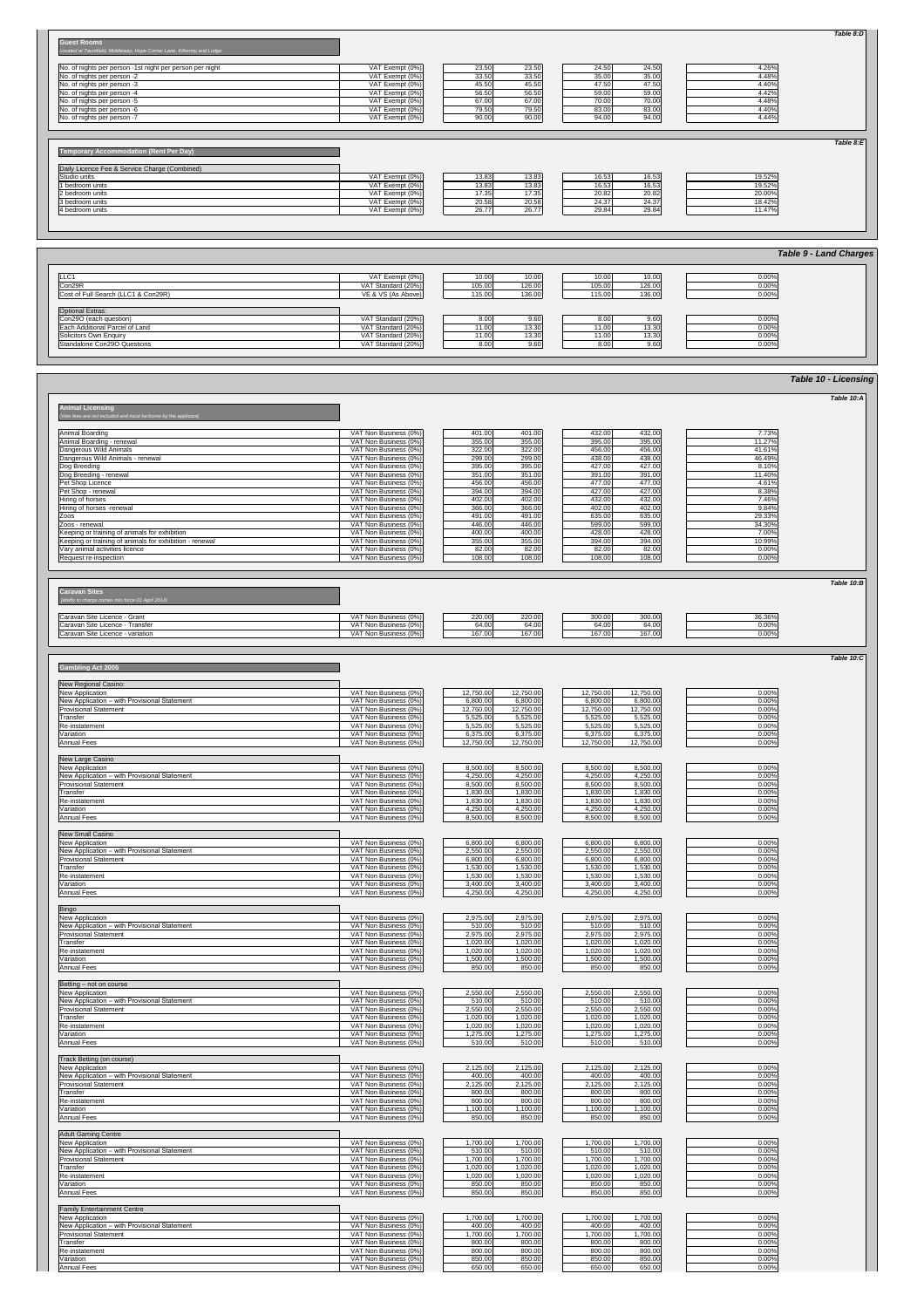### **Guest Rooms**

*Located at Tauntfield, Middleway, Hope Corner Lane, Kilkenny and Lodge*

| No. of nights per person -1st night per person per night | VAT Exempt (0%)   | 23.50 | 23.50  | 24.50 | 24.50 | 4.26% |
|----------------------------------------------------------|-------------------|-------|--------|-------|-------|-------|
| No. of nights per person -2                              | VAT Exempt $(0%)$ | 33.50 | 33.50  | 35.00 | 35.00 | 4.48% |
| No. of nights per person -3                              | VAT Exempt $(0%)$ | 45.50 | 45.50  | 47.50 | 47.50 | 4.40% |
| No. of nights per person -4                              | VAT Exempt $(0%)$ | 56.50 | 56.50l | 59.00 | 59.00 | 4.42% |
| No. of nights per person -5                              | VAT Exempt (0%)   | 67.00 | 67.00  | 70.00 | 70.00 | 4.48% |
| No. of nights per person -6                              | VAT Exempt $(0%)$ | 79.50 | 79.50  | 83.00 | 83.00 | 4.40% |
| No. of nights per person -7                              | VAT Exempt (0%)   | 90.00 | 90.00  | 94.00 | 94.00 | 4.44% |

## **Temporary Accommodation (Rent Per Day)**

| Daily Licence Fee & Service Charge (Combined) |                    |       |       |                    |       |        |
|-----------------------------------------------|--------------------|-------|-------|--------------------|-------|--------|
| Studio units                                  | VAT Exempt $(0\%)$ | 13.83 | 13.83 | 16.53 <sub>1</sub> | 16.53 | 19.52% |
| 1 bedroom units                               | VAT Exempt $(0\%)$ | 13.83 | 13.83 | 16.53              | 16.53 | 19.52% |
| 2 bedroom units                               | VAT Exempt $(0\%)$ | 17.35 | 17.35 | 20.82 <sub>1</sub> | 20.82 | 20.00% |
| 13 bedroom units                              | VAT Exempt (0%)    | 20.58 | 20.58 | 24.37              | 24.37 | 18.42% |
| 4 bedroom units                               | VAT Exempt $(0\%)$ | 26.77 | 26.77 | 29.84              | 29.84 | 11.47% |

| Hiring of horses                                        | VAT Non Business (0%) | 402.00 | 402.00 | 432.00              | 432.00 | 7.46%    |
|---------------------------------------------------------|-----------------------|--------|--------|---------------------|--------|----------|
| Hiring of horses -renewal                               | VAT Non Business (0%) | 366.00 | 366.00 | 402.00              | 402.00 | 9.84%    |
| <b>IZOOS</b>                                            | VAT Non Business (0%) | 491.00 | 491.00 | 635.00              | 635.00 | 29.33%   |
| <b>Zoos</b> - renewal                                   | VAT Non Business (0%) | 446.00 | 446.00 | 599.00              | 599.00 | 34.30%   |
| Keeping or training of animals for exhibition           | VAT Non Business (0%) | 400.00 | 400.00 | 428.00              | 428.00 | 7.00%    |
| Keeping or training of animals for exhibition - renewal | VAT Non Business (0%) | 355.00 | 355.00 | 394.00              | 394.00 | 10.99%   |
| Vary animal activities licence                          | VAT Non Business (0%) | 82.00  | 82.00  | 82.00               | 82.00  | $0.00\%$ |
| Request re-inspection                                   | VAT Non Business (0%) | 108.00 | 108.00 | 108.00 <sub>1</sub> | 108.00 | 0.00%    |
|                                                         |                       |        |        |                     |        |          |

| <b>Caravan Sites</b>                               |                            |        |                                           |
|----------------------------------------------------|----------------------------|--------|-------------------------------------------|
| (ability to charge comes into force 01 April 2014) |                            |        |                                           |
|                                                    |                            |        |                                           |
| Caravan Site Licence - Grant                       | VAT Non Business (0%)      | 220.00 | 220.00                                    |
| $\sim$ $\sim$ $\sim$ $\sim$<br>$\sim$<br>$-$       | $\sqrt{2}$<br>$\mathbf{v}$ | .      | $\sim$ $\sim$ $\sim$ $\sim$ $\sim$ $\sim$ |

| Caravan Site Licence - Grant        | $\frac{1}{2}$<br>(%0) ز<br><b>Business</b><br>ושצו        | 220.00 | 220.00                | 300.00 | 300.00 | 36.36% |
|-------------------------------------|-----------------------------------------------------------|--------|-----------------------|--------|--------|--------|
| Caravan Site Licence<br>Transfer    | <sup>1</sup> '^ <sup>→</sup> Non Business (∪ /∪ /         | 64.00  | 0.400<br><b>04.UU</b> | 64.00  | 64.00  | 0.00%  |
| Caravan Site Licence<br>- variation | $(0\%)'$<br>$1/\Lambda T$ No.<br>n Busines<br><b>IVUI</b> | 167.00 | 167.00                | 167.00 | 167.00 | 0.00%  |

| <b>Gambling Act 2005</b>                     |                       |                        |                        |       |
|----------------------------------------------|-----------------------|------------------------|------------------------|-------|
|                                              |                       |                        |                        |       |
| New Regional Casino:                         |                       |                        |                        |       |
| <b>New Application</b>                       | VAT Non Business (0%) | 12,750.00<br>12,750.00 | 12,750.00<br>12,750.00 | 0.00% |
| New Application - with Provisional Statement | VAT Non Business (0%) | 6,800.00<br>6,800.00   | 6,800.00<br>6,800.00   | 0.00% |
| <b>Provisional Statement</b>                 | VAT Non Business (0%) | 12,750.00<br>12,750.00 | 12,750.00<br>12,750.00 | 0.00% |
| Transfer                                     | VAT Non Business (0%) | 5,525.00<br>5,525.00   | 5,525.00<br>5,525.00   | 0.00% |
| Re-instatement                               | VAT Non Business (0%) | 5,525.00<br>5,525.00   | 5,525.00<br>5,525.00   | 0.00% |
| Variation                                    | VAT Non Business (0%) | 6,375.00<br>6,375.00   | 6,375.00<br>6,375.00   | 0.00% |
| Annual Fees                                  | VAT Non Business (0%) | 12,750.00<br>12,750.00 | 12,750.00<br>12,750.00 | 0.00% |
|                                              |                       |                        |                        |       |
| New Large Casino                             |                       |                        |                        |       |
| <b>New Application</b>                       | VAT Non Business (0%) | 8,500.00<br>8,500.00   | 8,500.00<br>8,500.00   | 0.00% |
| New Application - with Provisional Statement | VAT Non Business (0%) | 4,250.00<br>4,250.00   | 4,250.00<br>4,250.00   | 0.00% |
| <b>Provisional Statement</b>                 | VAT Non Business (0%) | 8,500.00<br>8,500.00   | 8,500.00<br>8,500.00   | 0.00% |
| Transfer                                     | VAT Non Business (0%) | 1,830.00<br>1,830.00   | 1,830.00<br>1,830.00   | 0.00% |
| Re-instatement                               | VAT Non Business (0%) | 1,830.00<br>1,830.00   | 1,830.00<br>1,830.00   | 0.00% |
| Variation                                    | VAT Non Business (0%) | 4,250.00<br>4,250.00   | 4,250.00<br>4,250.00   | 0.00% |
| Annual Fees                                  | VAT Non Business (0%) | 8,500.00<br>8,500.00   | 8,500.00<br>8,500.00   | 0.00% |
|                                              |                       |                        |                        |       |

|                                     |                    |                  |                             | <b>Table 9 - Land Charges</b> |
|-------------------------------------|--------------------|------------------|-----------------------------|-------------------------------|
| ILLC <sub>1</sub>                   | VAT Exempt (0%)    | 10.00<br>10.00   | 10.00<br>10.00              | 0.00%                         |
| Con29R                              | VAT Standard (20%) | 105.00<br>126.00 | 126.00<br>105.00            | 0.00%                         |
| Cost of Full Search (LLC1 & Con29R) | VE & VS (As Above) | 136.00<br>115.00 | 136.00<br>115.00            | 0.00%                         |
|                                     |                    |                  |                             |                               |
| <b>Optional Extras:</b>             |                    |                  |                             |                               |
| Con29O (each question)              | VAT Standard (20%) | 9.60<br>8.00     | 9.60<br>8.00                | 0.00%                         |
| Each Additional Parcel of Land      | VAT Standard (20%) | 13.30<br>11.00   | 13.30<br>11.00              | 0.00%                         |
| Solicitors Own Enquiry              | VAT Standard (20%) | 13.30<br>11.00   | 13.30<br>11.00 <sub>l</sub> | 0.00%                         |
| Standalone Con29O Questions         | VAT Standard (20%) | 9.60<br>8.00     | 9.60<br>8.00                | 0.00%                         |

| New Small Casino                             |                       |          |          |          |          |       |
|----------------------------------------------|-----------------------|----------|----------|----------|----------|-------|
| New Application                              | VAT Non Business (0%) | 6,800.00 | 6,800.00 | 6,800.00 | 6,800.00 | 0.00% |
| New Application - with Provisional Statement | VAT Non Business (0%) | 2,550.00 | 2,550.00 | 2,550.00 | 2,550.00 | 0.00% |
| <b>Provisional Statement</b>                 | VAT Non Business (0%) | 6,800.00 | 6,800.00 | 6,800.00 | 6,800.00 | 0.00% |
| Transfer                                     | VAT Non Business (0%) | 1,530.00 | 1,530.00 | 1,530.00 | ,530.00  | 0.00% |
| <b>Re-instatement</b>                        | VAT Non Business (0%) | 1,530.00 | 1,530.00 | 1,530.00 | ,530.00  | 0.00% |
| Variation                                    | VAT Non Business (0%) | 3,400.00 | 3,400.00 | 3,400.00 | 3,400.00 | 0.00% |
| Annual Fees                                  | VAT Non Business (0%) | 4,250.00 | 4,250.00 | 4,250.00 | 4,250.00 | 0.00% |

|                                                                 |                       |                  |                  |        | Table 10 - Licensing |
|-----------------------------------------------------------------|-----------------------|------------------|------------------|--------|----------------------|
|                                                                 |                       |                  |                  |        | Table $10:A$         |
| <b>Animal Licensing</b>                                         |                       |                  |                  |        |                      |
| (Vets fees are not included and must be borne by the applicant) |                       |                  |                  |        |                      |
|                                                                 |                       |                  |                  |        |                      |
| Animal Boarding                                                 | VAT Non Business (0%) | 401.00<br>401.00 | 432.00<br>432.00 | 7.73%  |                      |
| Animal Boarding - renewal                                       | VAT Non Business (0%) | 355.00<br>355.00 | 395.00<br>395.00 | 11.27% |                      |
| Dangerous Wild Animals                                          | VAT Non Business (0%) | 322.00<br>322.00 | 456.00<br>456.00 | 41.61% |                      |
| Dangerous Wild Animals - renewal                                | VAT Non Business (0%) | 299.00<br>299.00 | 438.00<br>438.00 | 46.49% |                      |
| Dog Breeding                                                    | VAT Non Business (0%) | 395.00<br>395.00 | 427.00<br>427.00 | 8.10%  |                      |
| Dog Breeding - renewal                                          | VAT Non Business (0%) | 351.00<br>351.00 | 391.00<br>391.00 | 11.40% |                      |
| <b>Pet Shop Licence</b>                                         | VAT Non Business (0%) | 456.00<br>456.00 | 477.00<br>477.00 | 4.61%  |                      |
| Pet Shop - renewal                                              | VAT Non Business (0%) | 394.00<br>394.00 | 427.00<br>427.00 | 8.38%  |                      |

| Bingo                                        |                       |          |          |          |          |       |
|----------------------------------------------|-----------------------|----------|----------|----------|----------|-------|
| New Application                              | VAT Non Business (0%) | 2,975.00 | 2,975.00 | 2,975.00 | 2,975.00 | 0.00% |
| New Application – with Provisional Statement | VAT Non Business (0%) | 510.00   | 510.00   | 510.00   | 510.00   | 0.00% |
| <b>Provisional Statement</b>                 | VAT Non Business (0%) | 2,975.00 | 2,975.00 | 2,975.00 | 2,975.00 | 0.00% |
| <b>Transfer</b>                              | VAT Non Business (0%) | 1,020.00 | 1,020.00 | 1,020.00 | 1,020.00 | 0.00% |
| Re-instatement                               | VAT Non Business (0%) | 1,020.00 | 1,020.00 | 1,020.00 | 1,020.00 | 0.00% |
| <b>Variation</b>                             | VAT Non Business (0%) | 1,500.00 | 1,500.00 | 1,500.00 | 1,500.00 | 0.00% |
| Annual Fees                                  | VAT Non Business (0%) | 850.00   | 850.00   | 850.00   | 850.00   | 0.00% |

Betting – not on course

| New Application - with Provisional Statement<br>VAT Non Business (0%)<br>510.00<br>510.00<br>510.00<br>VAT Non Business (0%)<br>2,550.00<br>2,550.00<br>2,550.00<br><b>Provisional Statement</b><br>1,020.00<br>Transfer<br>VAT Non Business (0%)<br>1,020.00<br>1,020.00<br>VAT Non Business (0%)<br>1,020.00<br>1,020.00<br>Re-instatement<br>1,020.00 | 0.00%<br>510.00<br>2,550.00<br>0.00%<br>1,020.00<br>0.00%<br>0.00%<br>1,020.00<br>0.00%<br>1,275.00<br>0.00%<br>510.00 |
|----------------------------------------------------------------------------------------------------------------------------------------------------------------------------------------------------------------------------------------------------------------------------------------------------------------------------------------------------------|------------------------------------------------------------------------------------------------------------------------|
|                                                                                                                                                                                                                                                                                                                                                          |                                                                                                                        |
|                                                                                                                                                                                                                                                                                                                                                          |                                                                                                                        |
|                                                                                                                                                                                                                                                                                                                                                          |                                                                                                                        |
|                                                                                                                                                                                                                                                                                                                                                          |                                                                                                                        |
| Variation<br>VAT Non Business (0%)<br>1,275.00<br>1,275.00<br>1,275.00                                                                                                                                                                                                                                                                                   |                                                                                                                        |
| VAT Non Business (0%)<br>Annual Fees<br>510.00<br>510.00<br>510.00                                                                                                                                                                                                                                                                                       |                                                                                                                        |
| Track Betting (on course)                                                                                                                                                                                                                                                                                                                                |                                                                                                                        |
| VAT Non Business (0%)<br><b>New Application</b><br>2,125.00<br>2,125.00<br>2,125.00                                                                                                                                                                                                                                                                      | 2,125.00<br>0.00%                                                                                                      |
| New Application - with Provisional Statement<br>VAT Non Business (0%)<br>400.00<br>400.00<br>400.00                                                                                                                                                                                                                                                      | 0.00%<br>400.00                                                                                                        |
| <b>Provisional Statement</b><br>VAT Non Business (0%)<br>2,125.00<br>2,125.00<br>2,125.00                                                                                                                                                                                                                                                                | 2,125.00<br>0.00%                                                                                                      |
| VAT Non Business (0%)<br>Transfer<br>800.00<br>800.00<br>800.00                                                                                                                                                                                                                                                                                          | 0.00%<br>800.00                                                                                                        |
| 800.00<br>VAT Non Business (0%)<br>800.00<br>800.00<br>Re-instatement                                                                                                                                                                                                                                                                                    | 0.00%<br>800.00                                                                                                        |
| VAT Non Business (0%)<br>Variation<br>1,100.00<br>1,100.00<br>1,100.00                                                                                                                                                                                                                                                                                   | 0.00%<br>1,100.00                                                                                                      |
| Annual Fees<br>VAT Non Business (0%)<br>850.00<br>850.00<br>850.00                                                                                                                                                                                                                                                                                       | 0.00%<br>850.00                                                                                                        |
| <b>Adult Gaming Centre</b>                                                                                                                                                                                                                                                                                                                               |                                                                                                                        |
| VAT Non Business (0%)<br>1,700.00<br>1,700.00<br>1,700.00<br><b>New Application</b>                                                                                                                                                                                                                                                                      | 1,700.00<br>0.00%                                                                                                      |
| New Application - with Provisional Statement<br>VAT Non Business (0%)<br>510.00<br>510.00<br>510.00                                                                                                                                                                                                                                                      | 0.00%<br>510.00                                                                                                        |
| <b>Provisional Statement</b><br>VAT Non Business (0%)<br>1,700.00<br>1,700.00<br>1,700.00                                                                                                                                                                                                                                                                | 0.00%<br>1,700.00                                                                                                      |
| VAT Non Business (0%)<br>Transfer<br>1,020.00<br>1,020.00<br>1,020.00                                                                                                                                                                                                                                                                                    | 0.00%<br>1,020.00                                                                                                      |
| VAT Non Business (0%)<br>1,020.00<br>1,020.00<br>1,020.00<br><b>Re-instatement</b>                                                                                                                                                                                                                                                                       | 0.00%<br>1,020.00                                                                                                      |
| 850.00<br>VAT Non Business (0%)<br>850.00<br>850.00<br>Variation                                                                                                                                                                                                                                                                                         | 0.00%<br>850.00                                                                                                        |
| Annual Fees<br>VAT Non Business (0%)<br>850.00<br>850.00<br>850.00                                                                                                                                                                                                                                                                                       | 0.00%<br>850.00                                                                                                        |
| <b>Family Entertainment Centre</b>                                                                                                                                                                                                                                                                                                                       |                                                                                                                        |
| 1,700.00<br><b>New Application</b><br>VAT Non Business (0%)<br>1,700.00<br>1,700.00                                                                                                                                                                                                                                                                      | 0.00%<br>1,700.00                                                                                                      |
| New Application - with Provisional Statement<br>VAT Non Business (0%)<br>400.00<br>400.00<br>400.00                                                                                                                                                                                                                                                      | 400.00<br>0.00%                                                                                                        |
| <b>Provisional Statement</b><br>VAT Non Business (0%)<br>1,700.00<br>1,700.00<br>1,700.00                                                                                                                                                                                                                                                                | 0.00%<br>1,700.00                                                                                                      |
| VAT Non Business (0%)<br>Transfer<br>800.00<br>800.00<br>800.00                                                                                                                                                                                                                                                                                          | 0.00%<br>800.00                                                                                                        |
| VAT Non Business (0%)<br>800.00<br>800.00<br>800.00<br><b>Re-instatement</b>                                                                                                                                                                                                                                                                             | 0.00%<br>800.00                                                                                                        |
| VAT Non Business (0%)<br>850.00<br>850.00<br>Variation<br>850.00                                                                                                                                                                                                                                                                                         | 0.00%<br>850.00                                                                                                        |
| <b>Annual Fees</b><br>650.00<br>VAT Non Business (0%)<br>650.00<br>650.00                                                                                                                                                                                                                                                                                | 650.00<br>0.00%                                                                                                        |

*Table 8:E*

*Table 8:D*

*Table 10:B*

*Table 10:C*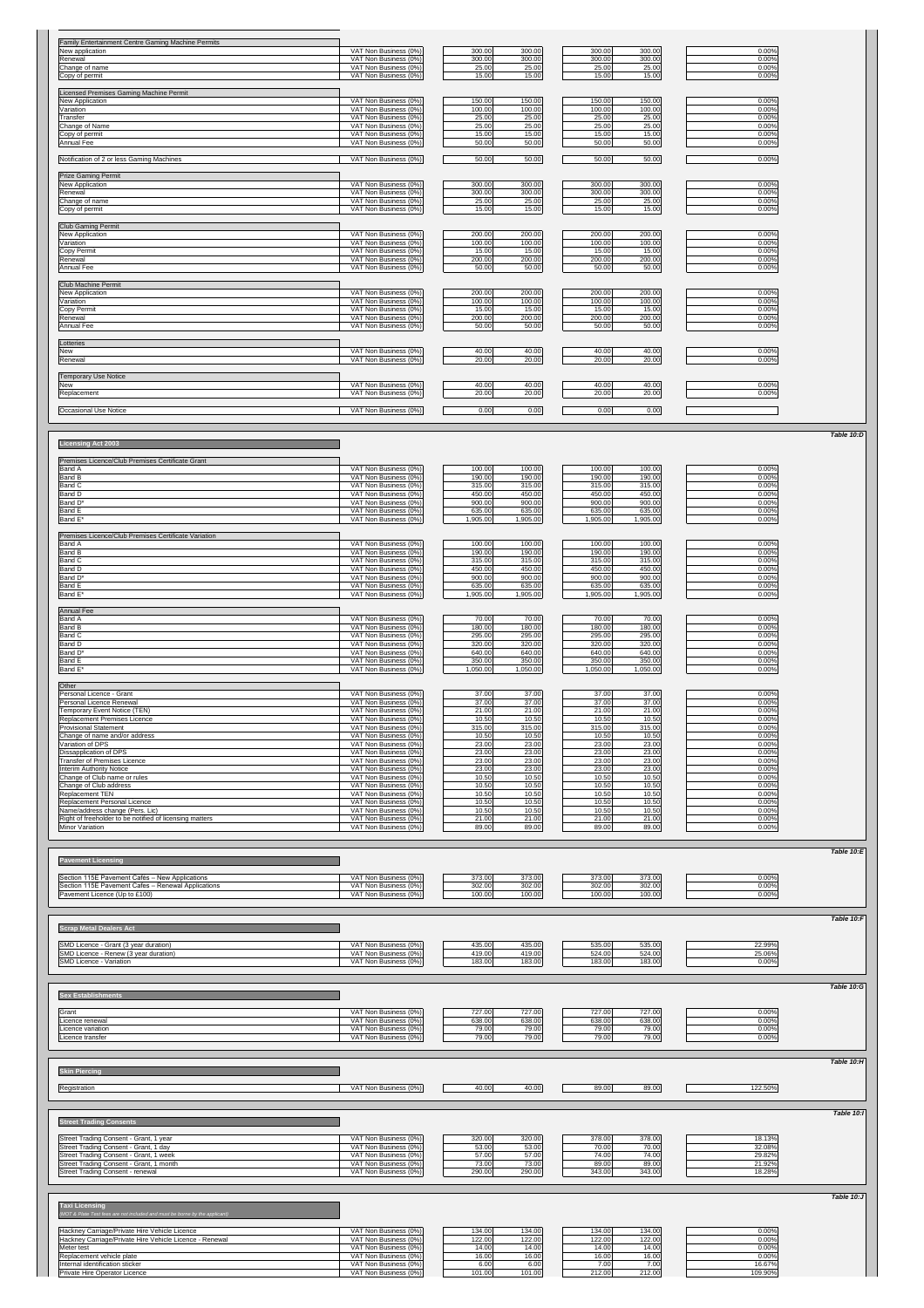| <b>Family Entertainment Centre Gaming Machine Permits</b>                                  |                                                |                                         |                                         |                  |
|--------------------------------------------------------------------------------------------|------------------------------------------------|-----------------------------------------|-----------------------------------------|------------------|
| New application<br>Renewal                                                                 | VAT Non Business (0%)<br>VAT Non Business (0%) | 300.00<br>300.00<br>300.00<br>300.00    | 300.00<br>300.00<br>300.00<br>300.00    | 0.00%<br>0.00%   |
| Change of name                                                                             | VAT Non Business (0%)                          | 25.00<br>25.00                          | 25.00<br>25.00                          | 0.00%            |
| Copy of permit                                                                             | VAT Non Business (0%)                          | 15.00<br>15.00                          | 15.00<br>15.00                          | 0.00%            |
| Licensed Premises Gaming Machine Permit                                                    |                                                |                                         |                                         |                  |
| New Application<br>Variation                                                               | VAT Non Business (0%)<br>VAT Non Business (0%) | 150.00<br>150.00<br>100.00<br>100.00    | 150.00<br>150.00<br>100.00<br>100.00    | 0.00%<br>0.00%   |
| Transfer                                                                                   | VAT Non Business (0%)                          | 25.00<br>25.00                          | 25.00<br>25.00                          | 0.00%            |
| Change of Name                                                                             | VAT Non Business (0%)                          | 25.00<br>25.00                          | 25.00<br>25.00                          | 0.00%            |
| Copy of permit<br>Annual Fee                                                               | VAT Non Business (0%)<br>VAT Non Business (0%) | 15.00<br>15.00<br>50.00<br>50.00        | 15.00<br>15.00<br>50.00<br>50.00        | 0.00%<br>0.00%   |
|                                                                                            |                                                |                                         |                                         |                  |
| Notification of 2 or less Gaming Machines                                                  | VAT Non Business (0%)                          | 50.00<br>50.00                          | 50.00<br>50.00                          | 0.00%            |
| <b>Prize Gaming Permit</b>                                                                 |                                                |                                         |                                         |                  |
| New Application                                                                            | VAT Non Business (0%)                          | 300.00<br>300.00                        | 300.00<br>300.00                        | 0.00%            |
| Renewal                                                                                    | VAT Non Business (0%)                          | 300.00<br>300.00                        | 300.00<br>300.00                        | 0.00%            |
| Change of name<br>Copy of permit                                                           | VAT Non Business (0%)<br>VAT Non Business (0%) | 25.00<br>25.00<br>15.00<br>15.00        | 25.00<br>25.00<br>15.00<br>15.00        | 0.00%<br>0.00%   |
|                                                                                            |                                                |                                         |                                         |                  |
| <b>Club Gaming Permit</b>                                                                  | VAT Non Business (0%)                          |                                         |                                         |                  |
| New Application<br>Variation                                                               | VAT Non Business (0%)                          | 200.00<br>200.00<br>100.00<br>100.00    | 200.00<br>200.00<br>100.00<br>100.00    | 0.00%<br>0.00%   |
| Copy Permit                                                                                | VAT Non Business (0%)                          | 15.00<br>15.00                          | 15.00<br>15.00                          | 0.00%            |
| Renewal<br><b>Annual Fee</b>                                                               | VAT Non Business (0%)<br>VAT Non Business (0%) | 200.00<br>200.00<br>50.00<br>50.00      | 200.00<br>200.00<br>50.00<br>50.00      | 0.00%<br>0.00%   |
|                                                                                            |                                                |                                         |                                         |                  |
| Club Machine Permit                                                                        |                                                |                                         |                                         |                  |
| New Application<br>Variation                                                               | VAT Non Business (0%)<br>VAT Non Business (0%) | 200.00<br>200.00<br>100.00<br>100.00    | 200.00<br>200.00<br>100.00<br>100.00    | 0.00%<br>0.00%   |
| Copy Permit                                                                                | VAT Non Business (0%)                          | 15.00<br>15.00                          | 15.00<br>15.00                          | 0.00%            |
| Renewal                                                                                    | VAT Non Business (0%)                          | 200.00<br>200.00                        | 200.00<br>200.00                        | 0.00%            |
| <b>Annual Fee</b>                                                                          | VAT Non Business (0%)                          | 50.00<br>50.00                          | 50.00<br>50.00                          | 0.00%            |
| Lotteries                                                                                  |                                                |                                         |                                         |                  |
| <b>New</b><br>Renewal                                                                      | VAT Non Business (0%)<br>VAT Non Business (0%) | 40.00<br>40.00<br>20.00<br>20.00        | 40.00<br>40.00<br>20.00<br>20.00        | 0.00%<br>0.00%   |
|                                                                                            |                                                |                                         |                                         |                  |
| <b>Temporary Use Notice</b>                                                                |                                                |                                         |                                         |                  |
| <b>New</b><br>Replacement                                                                  | VAT Non Business (0%)<br>VAT Non Business (0%) | 40.00<br>40.00<br>20.00<br>20.00        | 40.00<br>40.00<br>20.00<br>20.00        | 0.00%<br>0.00%   |
|                                                                                            |                                                |                                         |                                         |                  |
| Occasional Use Notice                                                                      | VAT Non Business (0%)                          | 0.00<br>0.00                            | 0.00<br>0.00                            |                  |
|                                                                                            |                                                |                                         |                                         |                  |
|                                                                                            |                                                |                                         |                                         |                  |
| <b>Licensing Act 2003</b>                                                                  |                                                |                                         |                                         |                  |
| Premises Licence/Club Premises Certificate Grant                                           |                                                |                                         |                                         |                  |
| <b>Band A</b>                                                                              | VAT Non Business (0%)                          | 100.00<br>100.00                        | 100.00<br>100.00                        | 0.00%            |
| <b>Band B</b><br><b>Band C</b>                                                             | VAT Non Business (0%)<br>VAT Non Business (0%) | 190.00<br>190.00<br>315.00<br>315.00    | 190.00<br>190.00<br>315.00<br>315.00    | 0.00%<br>0.00%   |
| <b>Band D</b>                                                                              | VAT Non Business (0%)                          | 450.00<br>450.00                        | 450.00<br>450.00                        | 0.00%            |
| Band D <sup>*</sup>                                                                        | VAT Non Business (0%)                          | 900.00<br>900.00                        | 900.00<br>900.00                        | 0.00%            |
| <b>Band E</b><br>Band E*                                                                   | VAT Non Business (0%)<br>VAT Non Business (0%) | 635.00<br>635.00<br>,905.00<br>1,905.00 | 635.00<br>635.00<br>,905.00<br>1,905.00 | 0.00%<br>0.00%   |
|                                                                                            |                                                |                                         |                                         |                  |
| Premises Licence/Club Premises Certificate Variation<br><b>Band A</b>                      | VAT Non Business (0%)                          | 100.00<br>100.00                        | 100.00<br>100.00                        | 0.00%            |
| <b>Band B</b>                                                                              | VAT Non Business (0%)                          | 190.00<br>190.00                        | 190.00<br>190.00                        | 0.00%            |
| <b>Band C</b>                                                                              |                                                | 315.00<br>315.00                        | 315.00<br>315.00                        | 0.00%            |
|                                                                                            | VAT Non Business (0%)                          |                                         |                                         |                  |
| <b>Band D</b>                                                                              | VAT Non Business (0%)                          | 450.00<br>450.00                        | 450.00<br>450.00                        | 0.00%            |
| Band D*<br><b>Band E</b>                                                                   | VAT Non Business (0%)<br>VAT Non Business (0%) | 900.00<br>900.00<br>635.00<br>635.00    | 900.00<br>900.00<br>635.00<br>635.00    | 0.00%<br>0.00%   |
| Band E <sup>*</sup>                                                                        | VAT Non Business (0%)                          | 1,905.00<br>1,905.00                    | 1,905.00<br>1,905.00                    | 0.00%            |
| <b>Annual Fee</b>                                                                          |                                                |                                         |                                         |                  |
| <b>Band A</b>                                                                              | VAT Non Business (0%)                          | 70.00<br>70.00                          | 70.00<br>70.00                          | 0.00%            |
| <b>Band B</b>                                                                              | VAT Non Business (0%)                          | 180.00<br>180.00                        | 180.00<br>180.00                        | 0.00%            |
| <b>Band C</b><br><b>Band D</b>                                                             | VAT Non Business (0%)<br>VAT Non Business (0%) | 295.00<br>295.00<br>320.00<br>320.00    | 295.00<br>295.00<br>320.00<br>320.00    | 0.00%<br>0.00%   |
| Band D*                                                                                    | VAT Non Business (0%)                          | 640.00<br>640.00                        | 640.00<br>640.00                        | 0.00%            |
| <b>Band E</b>                                                                              | VAT Non Business (0%)                          | 350.00<br>350.00                        | 350.00<br>350.00                        | 0.00%            |
| Band E*                                                                                    | VAT Non Business (0%)                          | 1,050.00<br>1,050.00                    | 1,050.00<br>1,050.00                    | 0.00%            |
| Other                                                                                      |                                                |                                         |                                         |                  |
| Personal Licence - Grant<br><b>Personal Licence Renewal</b>                                | VAT Non Business (0%)<br>VAT Non Business (0%) | 37.00<br>37.00<br>37.00<br>37.00        | 37.00<br>37.00<br>37.00<br>37.00        | 0.00%<br>0.00%   |
| <b>Temporary Event Notice (TEN)</b>                                                        | VAT Non Business (0%)                          | 21.00<br>21.00                          | 21.00<br>21.00                          | 0.00%            |
| <b>Replacement Premises Licence</b>                                                        | VAT Non Business (0%)                          | 10.50<br>10.50                          | 10.50<br>10.50                          | 0.00%            |
| <b>Provisional Statement</b><br>Change of name and/or address                              | VAT Non Business (0%)<br>VAT Non Business (0%) | 315.00<br>315.00<br>10.50<br>10.50      | 315.00<br>315.00<br>10.50<br>10.50      | 0.00%<br>0.00%   |
| Variation of DPS                                                                           | VAT Non Business (0%)                          | 23.00<br>23.00                          | 23.00<br>23.00                          | 0.00%            |
| Dissapplication of DPS<br><b>Transfer of Premises Licence</b>                              | VAT Non Business (0%)<br>VAT Non Business (0%) | 23.00<br>23.00<br>23.00<br>23.00        | 23.00<br>23.00<br>23.00<br>23.00        | 0.00%<br>0.00%   |
| <b>Interim Authority Notice</b>                                                            | VAT Non Business (0%)                          | 23.00<br>23.00                          | 23.00<br>23.00                          | 0.00%            |
| Change of Club name or rules                                                               | VAT Non Business (0%)                          | 10.50<br>10.50                          | 10.50<br>10.50                          | 0.00%            |
| Change of Club address<br><b>Replacement TEN</b>                                           | VAT Non Business (0%)<br>VAT Non Business (0%) | 10.50<br>10.50<br>10.50<br>10.50        | 10.50<br>10.50<br>10.50<br>10.50        | 0.00%<br>0.00%   |
| Replacement Personal Licence                                                               | VAT Non Business (0%)                          | 10.50<br>10.50                          | 10.50<br>10.50                          | 0.00%            |
| Name/address change (Pers. Lic)<br>Right of freeholder to be notified of licensing matters | VAT Non Business (0%)<br>VAT Non Business (0%) | 10.50<br>10.50<br>21.00<br>21.00        | 10.50<br>10.50<br>21.00<br>21.00        | 0.00%<br>0.00%   |
| <b>Minor Variation</b>                                                                     | VAT Non Business (0%)                          | 89.00<br>89.00                          | 89.00<br>89.00                          | 0.00%            |
|                                                                                            |                                                |                                         |                                         |                  |
|                                                                                            |                                                |                                         |                                         |                  |
| <b>Pavement Licensing</b>                                                                  |                                                |                                         |                                         |                  |
| Section 115E Pavement Cafés - New Applications                                             | VAT Non Business (0%)                          | 373.00<br>373.00                        | 373.00<br>373.00                        | 0.00%            |
| Section 115E Pavement Cafes - Renewal Applications                                         | VAT Non Business (0%)                          | 302.00<br>302.00                        | 302.00<br>302.00                        | 0.00%            |
| Pavement Licence (Up to £100)                                                              | VAT Non Business (0%)                          | 100.00<br>100.00                        | 100.00<br>100.00                        | 0.00%            |
|                                                                                            |                                                |                                         |                                         |                  |
|                                                                                            |                                                |                                         |                                         |                  |
| <b>Scrap Metal Dealers Act</b>                                                             |                                                |                                         |                                         |                  |
| SMD Licence - Grant (3 year duration)<br>SMD Licence - Renew (3 year duration)             | VAT Non Business (0%)<br>VAT Non Business (0%) | 435.00<br>435.00<br>419.00<br>419.00    | 535.00<br>535.00<br>524.00<br>524.00    | 22.99%<br>25.06% |

|                                                                                                      |                                                |                 |                 |                 |                 |                  | Table $10:G$      |
|------------------------------------------------------------------------------------------------------|------------------------------------------------|-----------------|-----------------|-----------------|-----------------|------------------|-------------------|
| <b>Sex Establishments</b>                                                                            |                                                |                 |                 |                 |                 |                  |                   |
| Grant                                                                                                | VAT Non Business (0%)                          | 727.00          | 727.00          | 727.00          | 727.00          | 0.00%            |                   |
| Licence renewal<br>Licence variation                                                                 | VAT Non Business (0%)<br>VAT Non Business (0%) | 638.00<br>79.00 | 638.00<br>79.00 | 638.00<br>79.00 | 638.00<br>79.00 | 0.00%<br>0.00%   |                   |
| Licence transfer                                                                                     | VAT Non Business (0%)                          | 79.00           | 79.00           | 79.00           | 79.00           | 0.00%            |                   |
|                                                                                                      |                                                |                 |                 |                 |                 |                  |                   |
|                                                                                                      |                                                |                 |                 |                 |                 |                  | Table 10:H        |
| <b>Skin Piercing</b>                                                                                 |                                                |                 |                 |                 |                 |                  |                   |
| Registration                                                                                         | VAT Non Business (0%)                          | 40.00           | 40.00           | 89.00           | 89.00           | 122.50%          |                   |
|                                                                                                      |                                                |                 |                 |                 |                 |                  |                   |
|                                                                                                      |                                                |                 |                 |                 |                 |                  | <b>Table 10:1</b> |
| <b>Street Trading Consents</b>                                                                       |                                                |                 |                 |                 |                 |                  |                   |
|                                                                                                      |                                                |                 |                 |                 |                 |                  |                   |
| Street Trading Consent - Grant, 1 year<br>Street Trading Consent - Grant, 1 day                      | VAT Non Business (0%)<br>VAT Non Business (0%) | 320.00<br>53.00 | 320.00<br>53.00 | 378.00<br>70.00 | 378.00<br>70.00 | 18.13%<br>32.08% |                   |
| Street Trading Consent - Grant, 1 week                                                               | VAT Non Business (0%)                          | 57.00           | 57.00           | 74.00           | 74.00           | 29.82%           |                   |
| Street Trading Consent - Grant, 1 month                                                              | VAT Non Business (0%)                          | 73.00           | 73.00           | 89.00           | 89.00           | 21.92%           |                   |
| <b>Street Trading Consent - renewal</b>                                                              | VAT Non Business (0%)                          | 290.00          | 290.00          | 343.00          | 343.00          | 18.28%           |                   |
|                                                                                                      |                                                |                 |                 |                 |                 |                  |                   |
|                                                                                                      |                                                |                 |                 |                 |                 |                  | Table 10:J        |
| <b>Taxi Licensing</b><br>(MOT & Plate Test fees are not included and must be borne by the applicant) |                                                |                 |                 |                 |                 |                  |                   |
|                                                                                                      |                                                |                 |                 |                 |                 |                  |                   |
| Hackney Carriage/Private Hire Vehicle Licence                                                        | VAT Non Business (0%)                          | 134.00          | 134.00          | 134.00          | 134.00          | 0.00%            |                   |
| Hackney Carriage/Private Hire Vehicle Licence - Renewal                                              | VAT Non Business (0%)                          | 122.00          | 122.00          | 122.00          | 122.00          | 0.00%            |                   |
| Meter test                                                                                           | VAT Non Business (0%)                          | 14.00           | 14.00           | 14.00           | 14.00           | 0.00%            |                   |
| Replacement vehicle plate<br>Internal identification sticker                                         | VAT Non Business (0%)<br>VAT Non Business (0%) | 16.00<br>6.00   | 16.00<br>6.00   | 16.00<br>7.00   | 16.00<br>7.00   | 0.00%<br>16.67%  |                   |
| Private Hire Operator Licence                                                                        | VAT Non Business (0%)                          | 101.00          | 101.00          | 212.00          | 212.00          | 109.90%          |                   |

*Table 10:D*

*Table 10:E*

*Table 10:F*